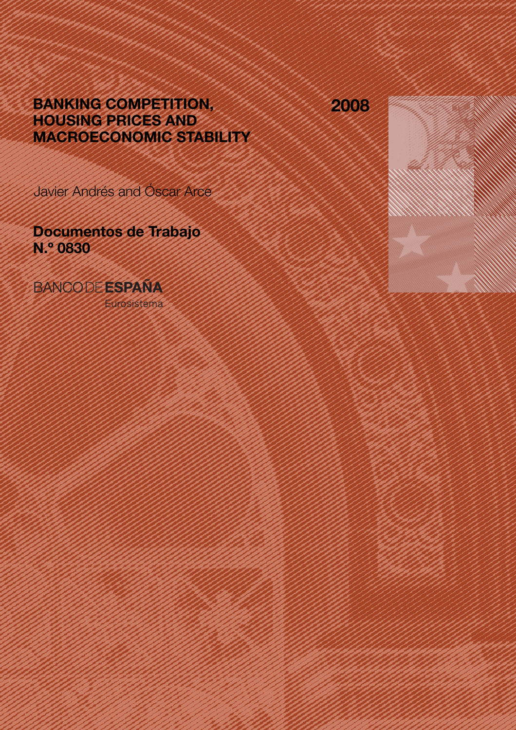# BANKING COMPETITION, HOUSING PRICES AND MACROECONOMIC STABILITY

2008

Javier Andrés and Óscar Arce

Documentos de Trabajo N.º 0830

**BANCODE ESPAÑA** 

Eurosistema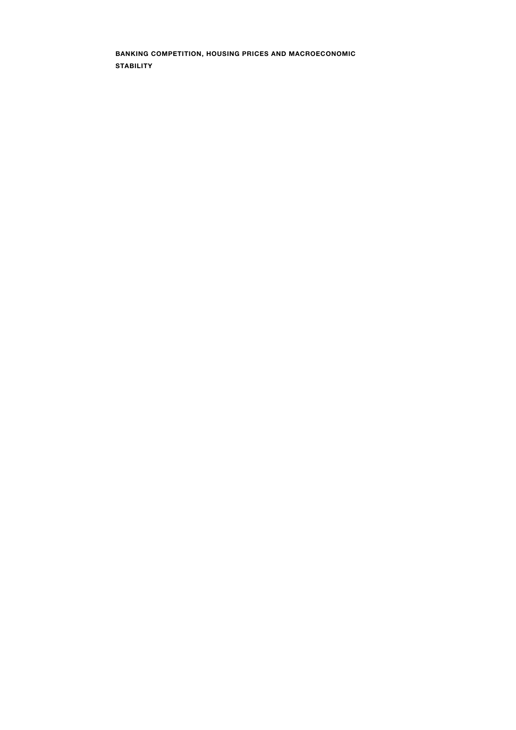BANKING COMPETITION, HOUSING PRICES AND MACROECONOMIC **STABILITY**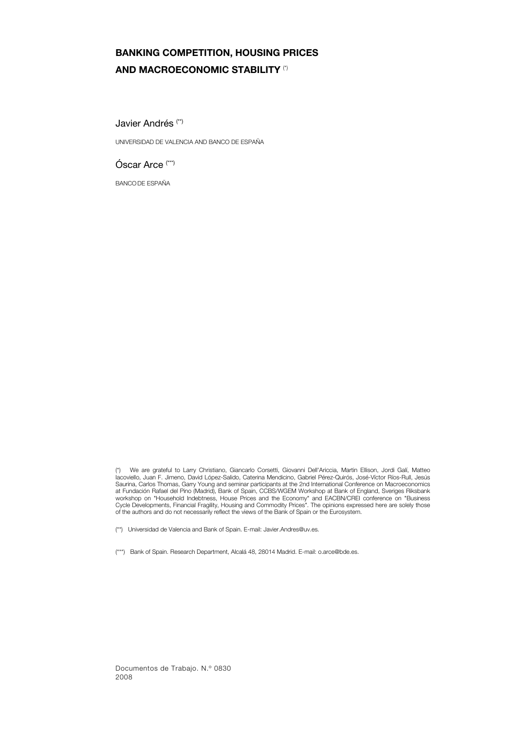## BANKING COMPETITION, HOUSING PRICES AND MACROECONOMIC STABILITY (\*)

Javier Andrés (\*\*)

UNIVERSIDAD DE VALENCIA AND BANCO DE ESPAÑA

Óscar Arce (\*\*\*)

BANCO DE ESPAÑA

(\*\*) Universidad de Valencia and Bank of Spain. E-mail: Javier.Andres@uv.es.

(\*\*\*) Bank of Spain. Research Department, Alcalá 48, 28014 Madrid. E-mail: o.arce@bde.es.

<sup>(\*)</sup> We are grateful to Larry Christiano, Giancarlo Corsetti, Giovanni Dell'Ariccia, Martin Ellison, Jordi Galí, Matteo Iacoviello, Juan F. Jimeno, David López-Salido, Caterina Mendicino, Gabriel Pérez-Quirós, José-Víctor Ríos-Rull, Jesús Saurina, Carlos Thomas, Garry Young and seminar participants at the 2nd International Conference on Macroeconomics at Fundación Rafael del Pino (Madrid), Bank of Spain, CCBS/WGEM Workshop at Bank of England, Sveriges Riksbank workshop on "Household Indebtness, House Prices and the Economy" and EACBN/CREI conference on "Business<br>Cycle Developments, Financial Fragility, Housing and Commodity Prices". The opinions expressed here are solely those<br>o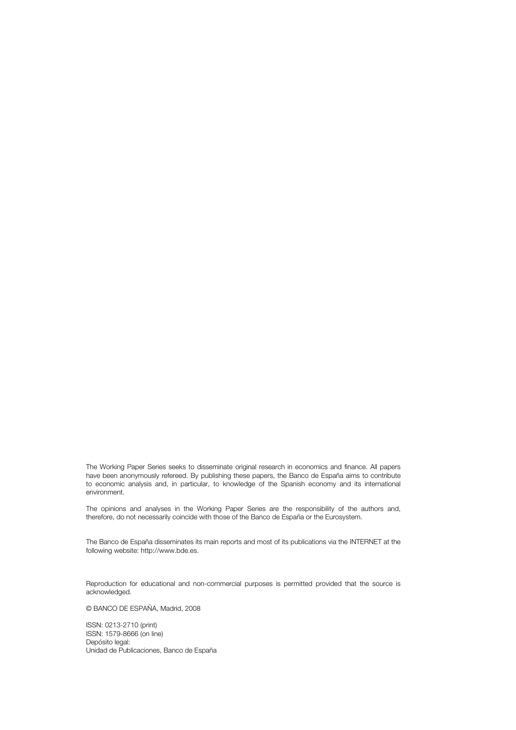The Working Paper Series seeks to disseminate original research in economics and finance. All papers have been anonymously refereed. By publishing these papers, the Banco de España aims to contribute to economic analysis and, in particular, to knowledge of the Spanish economy and its international environment.

The opinions and analyses in the Working Paper Series are the responsibility of the authors and, therefore, do not necessarily coincide with those of the Banco de España or the Eurosystem.

The Banco de España disseminates its main reports and most of its publications via the INTERNET at the following website: http://www.bde.es.

Reproduction for educational and non-commercial purposes is permitted provided that the source is acknowledged.

© BANCO DE ESPAÑA, Madrid, 2008

ISSN: 0213-2710 (print) ISSN: 1579-8666 (on line) Depósito legal: Unidad de Publicaciones, Banco de España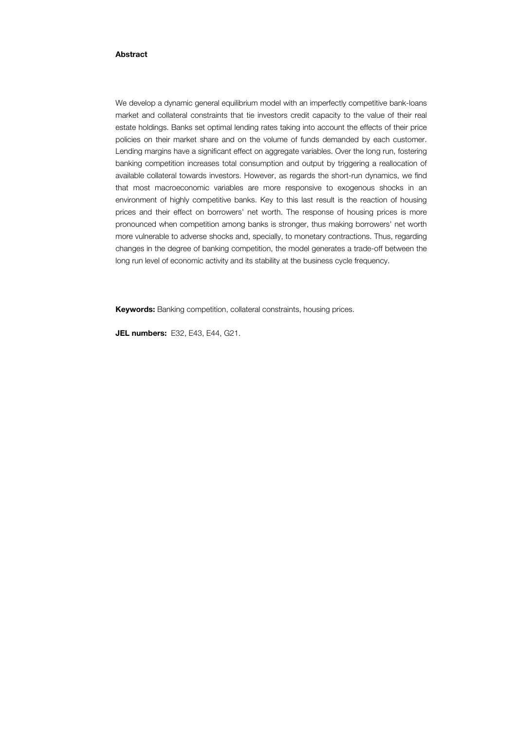#### Abstract

We develop a dynamic general equilibrium model with an imperfectly competitive bank-loans market and collateral constraints that tie investors credit capacity to the value of their real estate holdings. Banks set optimal lending rates taking into account the effects of their price policies on their market share and on the volume of funds demanded by each customer. Lending margins have a significant effect on aggregate variables. Over the long run, fostering banking competition increases total consumption and output by triggering a reallocation of available collateral towards investors. However, as regards the short-run dynamics, we find that most macroeconomic variables are more responsive to exogenous shocks in an environment of highly competitive banks. Key to this last result is the reaction of housing prices and their effect on borrowers' net worth. The response of housing prices is more pronounced when competition among banks is stronger, thus making borrowers' net worth more vulnerable to adverse shocks and, specially, to monetary contractions. Thus, regarding changes in the degree of banking competition, the model generates a trade-off between the long run level of economic activity and its stability at the business cycle frequency.

Keywords: Banking competition, collateral constraints, housing prices.

JEL numbers: E32, E43, E44, G21.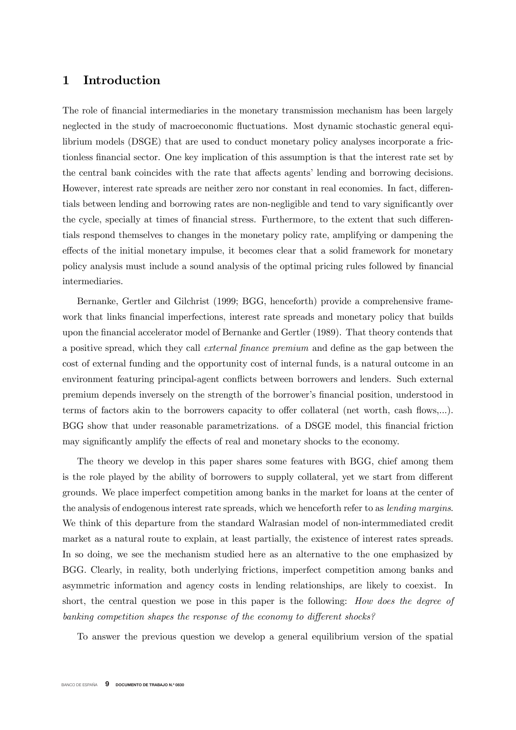## 1 Introduction

The role of nancial intermediaries in the monetary transmission mechanism has been largely neglected in the study of macroeconomic fluctuations. Most dynamic stochastic general equilibrium models (DSGE) that are used to conduct monetary policy analyses incorporate a frictionless financial sector. One key implication of this assumption is that the interest rate set by the central bank coincides with the rate that affects agents' lending and borrowing decisions. However, interest rate spreads are neither zero nor constant in real economies. In fact, differentials between lending and borrowing rates are non-negligible and tend to vary signicantly over the cycle, specially at times of financial stress. Furthermore, to the extent that such differentials respond themselves to changes in the monetary policy rate, amplifying or dampening the effects of the initial monetary impulse, it becomes clear that a solid framework for monetary policy analysis must include a sound analysis of the optimal pricing rules followed by financial intermediaries.

Bernanke, Gertler and Gilchrist (1999; BGG, henceforth) provide a comprehensive framework that links financial imperfections, interest rate spreads and monetary policy that builds upon the financial accelerator model of Bernanke and Gertler (1989). That theory contends that a positive spread, which they call *external finance premium* and define as the gap between the cost of external funding and the opportunity cost of internal funds, is a natural outcome in an environment featuring principal-agent conflicts between borrowers and lenders. Such external premium depends inversely on the strength of the borrower's nancial position, understood in terms of factors akin to the borrowers capacity to offer collateral (net worth, cash flows,...). BGG show that under reasonable parametrizations. of a DSGE model, this financial friction may significantly amplify the effects of real and monetary shocks to the economy.

The theory we develop in this paper shares some features with BGG, chief among them is the role played by the ability of borrowers to supply collateral, yet we start from different grounds. We place imperfect competition among banks in the market for loans at the center of the analysis of endogenous interest rate spreads, which we henceforth refer to as lending margins. We think of this departure from the standard Walrasian model of non-intermmediated credit market as a natural route to explain, at least partially, the existence of interest rates spreads. In so doing, we see the mechanism studied here as an alternative to the one emphasized by BGG. Clearly, in reality, both underlying frictions, imperfect competition among banks and asymmetric information and agency costs in lending relationships, are likely to coexist. In short, the central question we pose in this paper is the following: How does the degree of banking competition shapes the response of the economy to different shocks?

To answer the previous question we develop a general equilibrium version of the spatial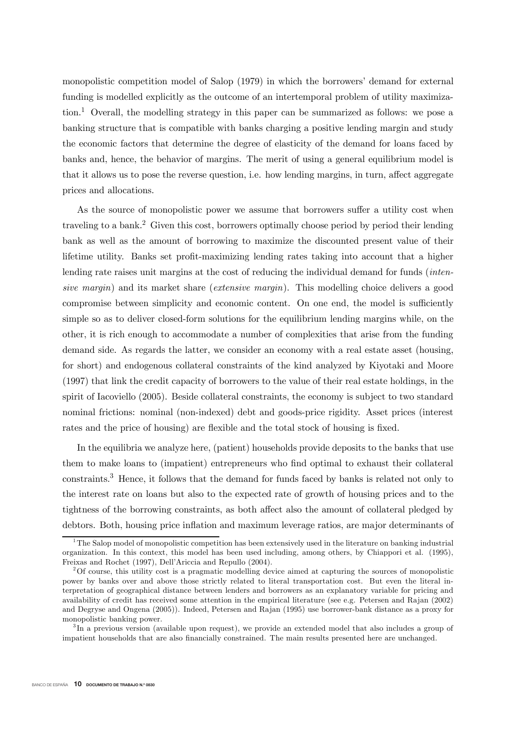monopolistic competition model of Salop (1979) in which the borrowers' demand for external funding is modelled explicitly as the outcome of an intertemporal problem of utility maximization.<sup>1</sup> Overall, the modelling strategy in this paper can be summarized as follows: we pose a banking structure that is compatible with banks charging a positive lending margin and study the economic factors that determine the degree of elasticity of the demand for loans faced by banks and, hence, the behavior of margins. The merit of using a general equilibrium model is that it allows us to pose the reverse question, i.e. how lending margins, in turn, affect aggregate prices and allocations.

As the source of monopolistic power we assume that borrowers suffer a utility cost when traveling to a bank.<sup>2</sup> Given this cost, borrowers optimally choose period by period their lending bank as well as the amount of borrowing to maximize the discounted present value of their lifetime utility. Banks set profit-maximizing lending rates taking into account that a higher lending rate raises unit margins at the cost of reducing the individual demand for funds *(inten*sive margin) and its market share (extensive margin). This modelling choice delivers a good compromise between simplicity and economic content. On one end, the model is sufficiently simple so as to deliver closed-form solutions for the equilibrium lending margins while, on the other, it is rich enough to accommodate a number of complexities that arise from the funding demand side. As regards the latter, we consider an economy with a real estate asset (housing, for short) and endogenous collateral constraints of the kind analyzed by Kiyotaki and Moore (1997) that link the credit capacity of borrowers to the value of their real estate holdings, in the spirit of Iacoviello (2005). Beside collateral constraints, the economy is subject to two standard nominal frictions: nominal (non-indexed) debt and goods-price rigidity. Asset prices (interest rates and the price of housing) are flexible and the total stock of housing is fixed.

In the equilibria we analyze here, (patient) households provide deposits to the banks that use them to make loans to (impatient) entrepreneurs who find optimal to exhaust their collateral constraints.3 Hence, it follows that the demand for funds faced by banks is related not only to the interest rate on loans but also to the expected rate of growth of housing prices and to the tightness of the borrowing constraints, as both affect also the amount of collateral pledged by debtors. Both, housing price inflation and maximum leverage ratios, are major determinants of

 $1<sup>1</sup>$ The Salop model of monopolistic competition has been extensively used in the literature on banking industrial organization. In this context, this model has been used including, among others, by Chiappori et al. (1995), Freixas and Rochet (1997), Dell'Ariccia and Repullo (2004).

<sup>2</sup>Of course, this utility cost is a pragmatic modelling device aimed at capturing the sources of monopolistic power by banks over and above those strictly related to literal transportation cost. But even the literal interpretation of geographical distance between lenders and borrowers as an explanatory variable for pricing and availability of credit has received some attention in the empirical literature (see e.g. Petersen and Rajan (2002) and Degryse and Ongena (2005)). Indeed, Petersen and Rajan (1995) use borrower-bank distance as a proxy for monopolistic banking power.

<sup>&</sup>lt;sup>3</sup>In a previous version (available upon request), we provide an extended model that also includes a group of impatient households that are also financially constrained. The main results presented here are unchanged.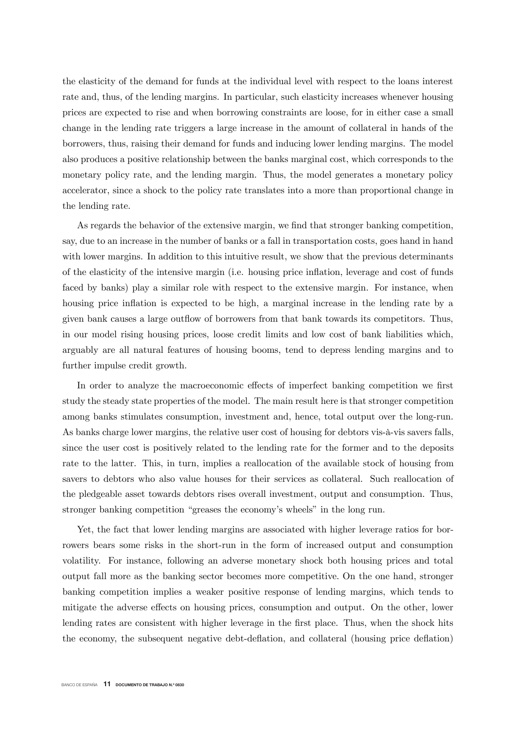the elasticity of the demand for funds at the individual level with respect to the loans interest rate and, thus, of the lending margins. In particular, such elasticity increases whenever housing prices are expected to rise and when borrowing constraints are loose, for in either case a small change in the lending rate triggers a large increase in the amount of collateral in hands of the borrowers, thus, raising their demand for funds and inducing lower lending margins. The model also produces a positive relationship between the banks marginal cost, which corresponds to the monetary policy rate, and the lending margin. Thus, the model generates a monetary policy accelerator, since a shock to the policy rate translates into a more than proportional change in the lending rate.

As regards the behavior of the extensive margin, we find that stronger banking competition, say, due to an increase in the number of banks or a fall in transportation costs, goes hand in hand with lower margins. In addition to this intuitive result, we show that the previous determinants of the elasticity of the intensive margin (i.e. housing price inflation, leverage and cost of funds faced by banks) play a similar role with respect to the extensive margin. For instance, when housing price inflation is expected to be high, a marginal increase in the lending rate by a given bank causes a large outflow of borrowers from that bank towards its competitors. Thus, in our model rising housing prices, loose credit limits and low cost of bank liabilities which, arguably are all natural features of housing booms, tend to depress lending margins and to further impulse credit growth.

In order to analyze the macroeconomic effects of imperfect banking competition we first study the steady state properties of the model. The main result here is that stronger competition among banks stimulates consumption, investment and, hence, total output over the long-run. As banks charge lower margins, the relative user cost of housing for debtors vis-à-vis savers falls, since the user cost is positively related to the lending rate for the former and to the deposits rate to the latter. This, in turn, implies a reallocation of the available stock of housing from savers to debtors who also value houses for their services as collateral. Such reallocation of the pledgeable asset towards debtors rises overall investment, output and consumption. Thus, stronger banking competition "greases the economy's wheels" in the long run.

Yet, the fact that lower lending margins are associated with higher leverage ratios for borrowers bears some risks in the short-run in the form of increased output and consumption volatility. For instance, following an adverse monetary shock both housing prices and total output fall more as the banking sector becomes more competitive. On the one hand, stronger banking competition implies a weaker positive response of lending margins, which tends to mitigate the adverse effects on housing prices, consumption and output. On the other, lower lending rates are consistent with higher leverage in the first place. Thus, when the shock hits the economy, the subsequent negative debt-deflation, and collateral (housing price deflation)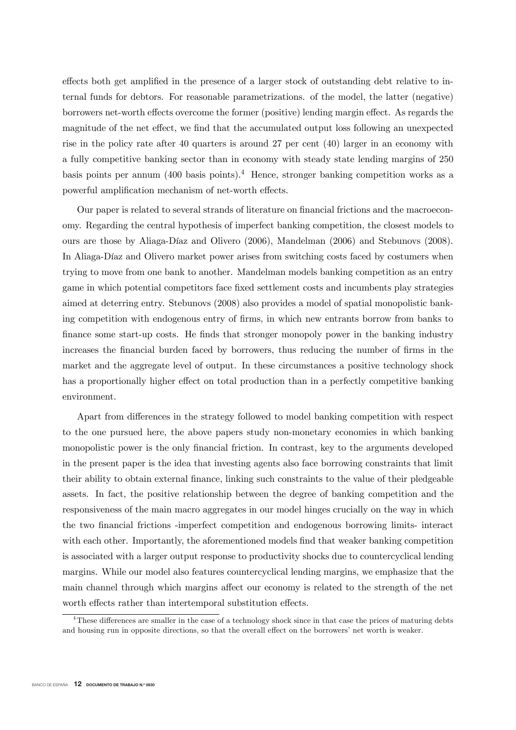effects both get amplified in the presence of a larger stock of outstanding debt relative to internal funds for debtors. For reasonable parametrizations. of the model, the latter (negative) borrowers net-worth effects overcome the former (positive) lending margin effect. As regards the magnitude of the net effect, we find that the accumulated output loss following an unexpected rise in the policy rate after 40 quarters is around 27 per cent (40) larger in an economy with a fully competitive banking sector than in economy with steady state lending margins of 250 basis points per annum  $(400 \text{ basis points})$ <sup>4</sup> Hence, stronger banking competition works as a powerful amplification mechanism of net-worth effects.

Our paper is related to several strands of literature on financial frictions and the macroeconomy. Regarding the central hypothesis of imperfect banking competition, the closest models to ours are those by Aliaga-Díaz and Olivero (2006), Mandelman (2006) and Stebunovs (2008). In Aliaga-Díaz and Olivero market power arises from switching costs faced by costumers when trying to move from one bank to another. Mandelman models banking competition as an entry game in which potential competitors face fixed settlement costs and incumbents play strategies aimed at deterring entry. Stebunovs (2008) also provides a model of spatial monopolistic banking competition with endogenous entry of firms, in which new entrants borrow from banks to finance some start-up costs. He finds that stronger monopoly power in the banking industry increases the financial burden faced by borrowers, thus reducing the number of firms in the market and the aggregate level of output. In these circumstances a positive technology shock has a proportionally higher effect on total production than in a perfectly competitive banking environment.

Apart from differences in the strategy followed to model banking competition with respect to the one pursued here, the above papers study non-monetary economies in which banking monopolistic power is the only financial friction. In contrast, key to the arguments developed in the present paper is the idea that investing agents also face borrowing constraints that limit their ability to obtain external finance, linking such constraints to the value of their pledgeable assets. In fact, the positive relationship between the degree of banking competition and the responsiveness of the main macro aggregates in our model hinges crucially on the way in which the two nancial frictions -imperfect competition and endogenous borrowing limits- interact with each other. Importantly, the aforementioned models find that weaker banking competition is associated with a larger output response to productivity shocks due to countercyclical lending margins. While our model also features countercyclical lending margins, we emphasize that the main channel through which margins affect our economy is related to the strength of the net worth effects rather than intertemporal substitution effects.

 $^{4}$ These differences are smaller in the case of a technology shock since in that case the prices of maturing debts and housing run in opposite directions, so that the overall effect on the borrowers' net worth is weaker.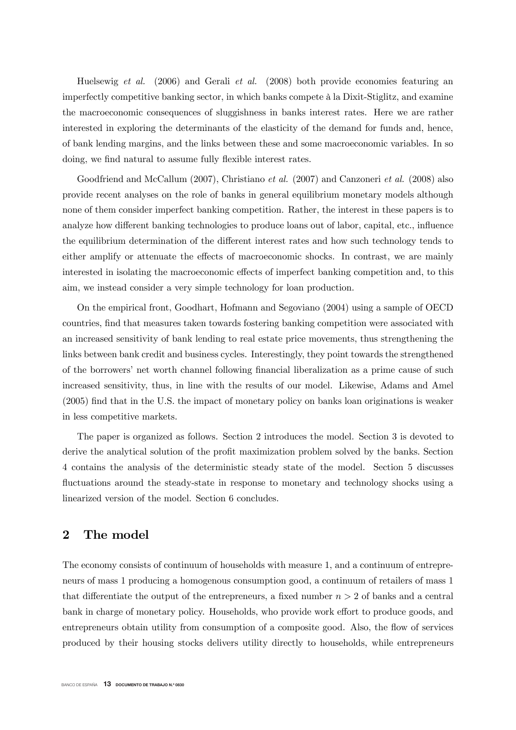Huelsewig et al. (2006) and Gerali et al. (2008) both provide economies featuring an imperfectly competitive banking sector, in which banks compete à la Dixit-Stiglitz, and examine the macroeconomic consequences of sluggishness in banks interest rates. Here we are rather interested in exploring the determinants of the elasticity of the demand for funds and, hence, of bank lending margins, and the links between these and some macroeconomic variables. In so doing, we find natural to assume fully flexible interest rates.

Goodfriend and McCallum (2007), Christiano *et al.* (2007) and Canzoneri *et al.* (2008) also provide recent analyses on the role of banks in general equilibrium monetary models although none of them consider imperfect banking competition. Rather, the interest in these papers is to analyze how different banking technologies to produce loans out of labor, capital, etc., influence the equilibrium determination of the different interest rates and how such technology tends to either amplify or attenuate the effects of macroeconomic shocks. In contrast, we are mainly interested in isolating the macroeconomic effects of imperfect banking competition and, to this aim, we instead consider a very simple technology for loan production.

On the empirical front, Goodhart, Hofmann and Segoviano (2004) using a sample of OECD countries, find that measures taken towards fostering banking competition were associated with an increased sensitivity of bank lending to real estate price movements, thus strengthening the links between bank credit and business cycles. Interestingly, they point towards the strengthened of the borrowers' net worth channel following financial liberalization as a prime cause of such increased sensitivity, thus, in line with the results of our model. Likewise, Adams and Amel  $(2005)$  find that in the U.S. the impact of monetary policy on banks loan originations is weaker in less competitive markets.

The paper is organized as follows. Section 2 introduces the model. Section 3 is devoted to derive the analytical solution of the profit maximization problem solved by the banks. Section 4 contains the analysis of the deterministic steady state of the model. Section 5 discusses fluctuations around the steady-state in response to monetary and technology shocks using a linearized version of the model. Section 6 concludes.

## 2 The model

The economy consists of continuum of households with measure 1, and a continuum of entrepreneurs of mass 1 producing a homogenous consumption good, a continuum of retailers of mass 1 that differentiate the output of the entrepreneurs, a fixed number  $n > 2$  of banks and a central bank in charge of monetary policy. Households, who provide work effort to produce goods, and entrepreneurs obtain utility from consumption of a composite good. Also, the flow of services produced by their housing stocks delivers utility directly to households, while entrepreneurs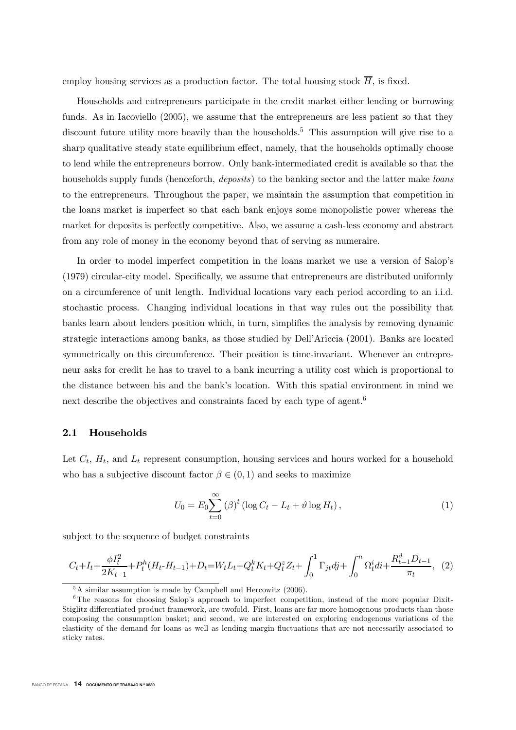employ housing services as a production factor. The total housing stock  $\overline{H}$ , is fixed.

Households and entrepreneurs participate in the credit market either lending or borrowing funds. As in Iacoviello (2005), we assume that the entrepreneurs are less patient so that they discount future utility more heavily than the households.<sup>5</sup> This assumption will give rise to a sharp qualitative steady state equilibrium effect, namely, that the households optimally choose to lend while the entrepreneurs borrow. Only bank-intermediated credit is available so that the households supply funds (henceforth, *deposits*) to the banking sector and the latter make *loans* to the entrepreneurs. Throughout the paper, we maintain the assumption that competition in the loans market is imperfect so that each bank enjoys some monopolistic power whereas the market for deposits is perfectly competitive. Also, we assume a cash-less economy and abstract from any role of money in the economy beyond that of serving as numeraire.

In order to model imperfect competition in the loans market we use a version of Salop's  $(1979)$  circular-city model. Specifically, we assume that entrepreneurs are distributed uniformly on a circumference of unit length. Individual locations vary each period according to an i.i.d. stochastic process. Changing individual locations in that way rules out the possibility that banks learn about lenders position which, in turn, simplies the analysis by removing dynamic strategic interactions among banks, as those studied by Dell'Ariccia (2001). Banks are located symmetrically on this circumference. Their position is time-invariant. Whenever an entrepreneur asks for credit he has to travel to a bank incurring a utility cost which is proportional to the distance between his and the bank's location. With this spatial environment in mind we next describe the objectives and constraints faced by each type of agent.<sup>6</sup>

#### 2.1 Households

Let  $C_t$ ,  $H_t$ , and  $L_t$  represent consumption, housing services and hours worked for a household who has a subjective discount factor  $\beta \in (0,1)$  and seeks to maximize

$$
U_0 = E_0 \sum_{t=0}^{\infty} (\beta)^t \left( \log C_t - L_t + \vartheta \log H_t \right),\tag{1}
$$

subject to the sequence of budget constraints

$$
C_t + I_t + \frac{\phi I_t^2}{2K_{t-1}} + P_t^h (H_t - H_{t-1}) + D_t = W_t L_t + Q_t^k K_t + Q_t^z Z_t + \int_0^1 \Gamma_{jt} dj + \int_0^n \Omega_t^i di + \frac{R_{t-1}^d D_{t-1}}{\pi_t},
$$
 (2)

<sup>&</sup>lt;sup>5</sup>A similar assumption is made by Campbell and Hercowitz (2006).

<sup>&</sup>lt;sup>6</sup>The reasons for choosing Salop's approach to imperfect competition, instead of the more popular Dixit-Stiglitz differentiated product framework, are twofold. First, loans are far more homogenous products than those composing the consumption basket; and second, we are interested on exploring endogenous variations of the elasticity of the demand for loans as well as lending margin uctuations that are not necessarily associated to sticky rates.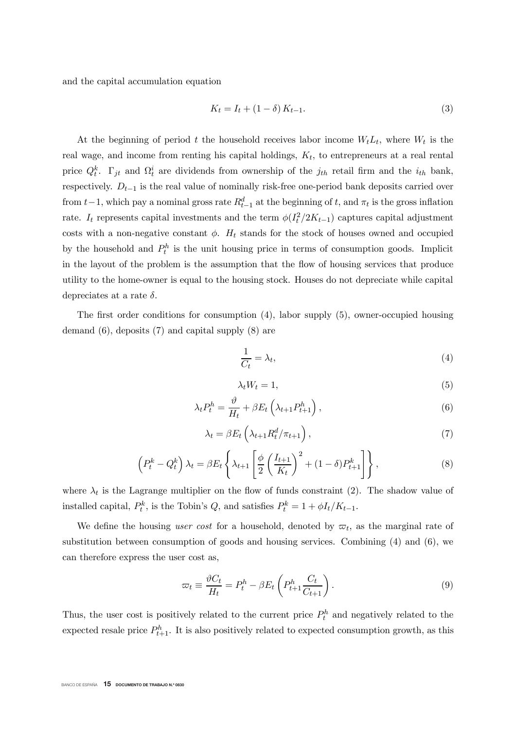and the capital accumulation equation

$$
K_t = I_t + (1 - \delta) K_{t-1}.
$$
\n(3)

At the beginning of period t the household receives labor income  $W_t L_t$ , where  $W_t$  is the real wage, and income from renting his capital holdings,  $K_t$ , to entrepreneurs at a real rental price  $Q_t^k$ .  $\Gamma_{jt}$  and  $\Omega_t^i$  are dividends from ownership of the  $j_{th}$  retail firm and the  $i_{th}$  bank, respectively.  $D_{t-1}$  is the real value of nominally risk-free one-period bank deposits carried over from  $t-1$ , which pay a nominal gross rate  $R_{t-1}^d$  at the beginning of t, and  $\pi_t$  is the gross inflation rate.  $I_t$  represents capital investments and the term  $\phi(I_t^2/2K_{t-1})$  captures capital adjustment costs with a non-negative constant  $\phi$ .  $H_t$  stands for the stock of houses owned and occupied by the household and  $P_t^h$  is the unit housing price in terms of consumption goods. Implicit in the layout of the problem is the assumption that the flow of housing services that produce utility to the home-owner is equal to the housing stock. Houses do not depreciate while capital depreciates at a rate  $\delta$ .

The first order conditions for consumption  $(4)$ , labor supply  $(5)$ , owner-occupied housing demand (6), deposits (7) and capital supply (8) are

$$
\frac{1}{C_t} = \lambda_t,\tag{4}
$$

$$
\lambda_t W_t = 1,\tag{5}
$$

$$
\lambda_t P_t^h = \frac{\vartheta}{H_t} + \beta E_t \left( \lambda_{t+1} P_{t+1}^h \right), \tag{6}
$$

$$
\lambda_t = \beta E_t \left( \lambda_{t+1} R_t^d / \pi_{t+1} \right), \tag{7}
$$

$$
\left(P_t^k - Q_t^k\right)\lambda_t = \beta E_t \left\{\lambda_{t+1} \left[\frac{\phi}{2}\left(\frac{I_{t+1}}{K_t}\right)^2 + (1-\delta)P_{t+1}^k\right]\right\},\tag{8}
$$

where  $\lambda_t$  is the Lagrange multiplier on the flow of funds constraint (2). The shadow value of installed capital,  $P_t^k$ , is the Tobin's Q, and satisfies  $P_t^k = 1 + \phi I_t / K_{t-1}$ .

We define the housing user cost for a household, denoted by  $\varpi_t$ , as the marginal rate of substitution between consumption of goods and housing services. Combining (4) and (6), we can therefore express the user cost as,

$$
\varpi_t \equiv \frac{\vartheta C_t}{H_t} = P_t^h - \beta E_t \left( P_{t+1}^h \frac{C_t}{C_{t+1}} \right). \tag{9}
$$

Thus, the user cost is positively related to the current price  $P_t^h$  and negatively related to the expected resale price  $P_{t+1}^h$ . It is also positively related to expected consumption growth, as this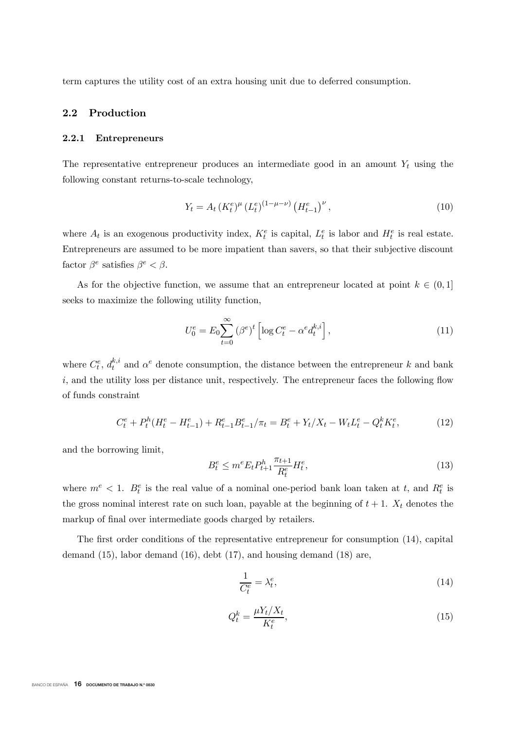term captures the utility cost of an extra housing unit due to deferred consumption.

#### 2.2 Production

#### 2.2.1 Entrepreneurs

The representative entrepreneur produces an intermediate good in an amount  $Y_t$  using the following constant returns-to-scale technology,

$$
Y_t = A_t (K_t^e)^{\mu} (L_t^e)^{(1-\mu-\nu)} (H_{t-1}^e)^{\nu}, \qquad (10)
$$

where  $A_t$  is an exogenous productivity index,  $K_t^e$  is capital,  $L_t^e$  is labor and  $H_t^e$  is real estate. Entrepreneurs are assumed to be more impatient than savers, so that their subjective discount factor  $\beta^e$  satisfies  $\beta^e < \beta$ .

As for the objective function, we assume that an entrepreneur located at point  $k \in (0,1]$ seeks to maximize the following utility function,

$$
U_0^e = E_0 \sum_{t=0}^{\infty} (\beta^e)^t \left[ \log C_t^e - \alpha^e d_t^{k,i} \right],\tag{11}
$$

where  $C_t^e$ ,  $d_t^{k,i}$  and  $\alpha^e$  denote consumption, the distance between the entrepreneur k and bank  $i$ , and the utility loss per distance unit, respectively. The entrepreneur faces the following flow of funds constraint

$$
C_t^e + P_t^h(H_t^e - H_{t-1}^e) + R_{t-1}^e B_{t-1}^e / \pi_t = B_t^e + Y_t / X_t - W_t L_t^e - Q_t^k K_t^e, \tag{12}
$$

and the borrowing limit,

$$
B_t^e \le m^e E_t P_{t+1}^h \frac{\pi_{t+1}}{R_t^e} H_t^e,\tag{13}
$$

where  $m^e < 1$ .  $B_t^e$  is the real value of a nominal one-period bank loan taken at t, and  $R_t^e$  is the gross nominal interest rate on such loan, payable at the beginning of  $t + 1$ .  $X_t$  denotes the markup of final over intermediate goods charged by retailers.

The first order conditions of the representative entrepreneur for consumption  $(14)$ , capital demand (15), labor demand (16), debt (17), and housing demand (18) are,

$$
\frac{1}{C_t^e} = \lambda_t^e,\tag{14}
$$

$$
Q_t^k = \frac{\mu Y_t / X_t}{K_t^e},\tag{15}
$$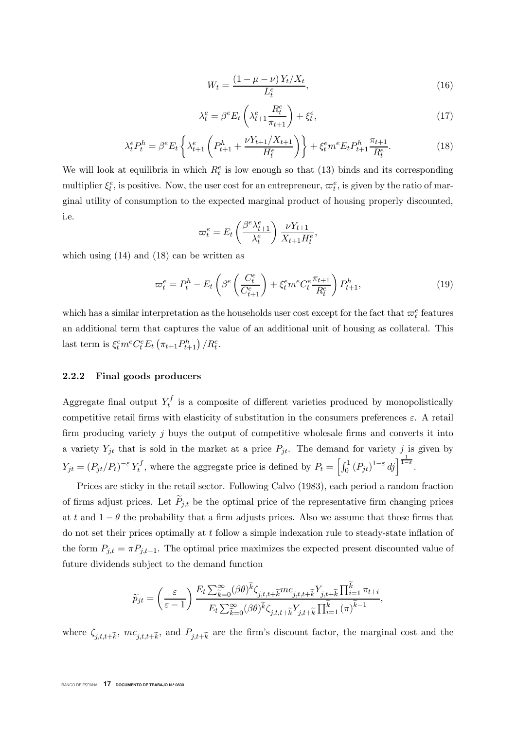$$
W_t = \frac{(1 - \mu - \nu) Y_t / X_t}{L_t^e},\tag{16}
$$

$$
\lambda_t^e = \beta^e E_t \left( \lambda_{t+1}^e \frac{R_t^e}{\pi_{t+1}} \right) + \xi_t^e,\tag{17}
$$

$$
\lambda_t^e P_t^h = \beta^e E_t \left\{ \lambda_{t+1}^e \left( P_{t+1}^h + \frac{\nu Y_{t+1} / X_{t+1}}{H_t^e} \right) \right\} + \xi_t^e m^e E_t P_{t+1}^h \frac{\pi_{t+1}}{R_t^e}.
$$
 (18)

We will look at equilibria in which  $R_t^e$  is low enough so that (13) binds and its corresponding multiplier  $\xi_t^e$ , is positive. Now, the user cost for an entrepreneur,  $\varpi_t^e$ , is given by the ratio of marginal utility of consumption to the expected marginal product of housing properly discounted, i.e.

$$
\varpi_t^e = E_t \left( \frac{\beta^e \lambda_{t+1}^e}{\lambda_t^e} \right) \frac{\nu Y_{t+1}}{X_{t+1} H_t^e},
$$

which using (14) and (18) can be written as

$$
\varpi_t^e = P_t^h - E_t \left( \beta^e \left( \frac{C_t^e}{C_{t+1}^e} \right) + \xi_t^e m^e C_t^e \frac{\pi_{t+1}}{R_t^e} \right) P_{t+1}^h, \tag{19}
$$

which has a similar interpretation as the households user cost except for the fact that  $\varpi_t^e$  features an additional term that captures the value of an additional unit of housing as collateral. This last term is  $\xi_t^e m^e C_t^e E_t \left(\pi_{t+1} P_{t+1}^h\right) / R_t^e$ .

#### 2.2.2 Final goods producers

Aggregate final output  $Y_t^f$  is a composite of different varieties produced by monopolistically competitive retail firms with elasticity of substitution in the consumers preferences  $\varepsilon$ . A retail firm producing variety  $j$  buys the output of competitive wholesale firms and converts it into a variety  $Y_{jt}$  that is sold in the market at a price  $P_{jt}$ . The demand for variety j is given by  $\mathbf{Y}_{jt} = (P_{jt}/P_t)^{-\varepsilon} Y_t^f$ , where the aggregate price is defined by  $P_t = \left[\int_0^1 (P_{jt})^{1-\varepsilon} dj\right]_0^{\frac{1}{1-\varepsilon}}$ .

Prices are sticky in the retail sector. Following Calvo (1983), each period a random fraction of firms adjust prices. Let  $P_{j,t}$  be the optimal price of the representative firm changing prices at t and  $1 - \theta$  the probability that a firm adjusts prices. Also we assume that those firms that do not set their prices optimally at  $t$  follow a simple indexation rule to steady-state inflation of the form  $P_{j,t} = \pi P_{j,t-1}$ . The optimal price maximizes the expected present discounted value of future dividends subject to the demand function

$$
\widetilde{p}_{jt} = \left(\frac{\varepsilon}{\varepsilon - 1}\right) \frac{E_t \sum_{\widetilde{k}=0}^{\infty} (\beta \theta)^{\widetilde{k}} \zeta_{j,t,t+\widetilde{k}} mc_{j,t,t+\widetilde{k}} Y_{j,t+\widetilde{k}} \prod_{i=1}^{\widetilde{k}} \pi_{t+i}}{E_t \sum_{\widetilde{k}=0}^{\infty} (\beta \theta)^{\widetilde{k}} \zeta_{j,t,t+\widetilde{k}} Y_{j,t+\widetilde{k}} \prod_{i=1}^{\widetilde{k}} (\pi)^{\widetilde{k}-1}},
$$

where  $\zeta_{i,t,t+\tilde{k}}$ ,  $mc_{i,t+\tilde{k}}$ , and  $P_{i,t+\tilde{k}}$  are the firm's discount factor, the marginal cost and the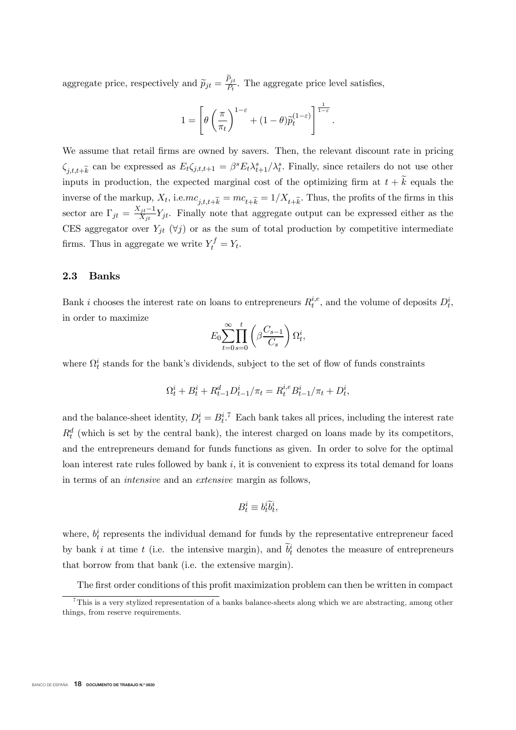aggregate price, respectively and  $\tilde{p}_{jt} = \frac{P_{jt}}{P_t}$ . The aggregate price level satisfies,

$$
1 = \left[\theta\left(\frac{\pi}{\pi_t}\right)^{1-\varepsilon} + (1-\theta)\tilde{p}_t^{(1-\varepsilon)}\right]^{\frac{1}{1-\varepsilon}}.
$$

We assume that retail firms are owned by savers. Then, the relevant discount rate in pricing  $\zeta_{j,t,t+\widetilde{k}}$  can be expressed as  $E_t \zeta_{j,t,t+1} = \beta^s E_t \lambda_{t+1}^s / \lambda_t^s$ . Finally, since retailers do not use other inputs in production, the expected marginal cost of the optimizing firm at  $t + \widetilde{k}$  equals the inverse of the markup,  $X_t$ , i.e. $mc_{j,t,t+\tilde{k}} = mc_{t+\tilde{k}} = 1/X_{t+\tilde{k}}$ . Thus, the profits of the firms in this sector are  $\Gamma_{jt} = \frac{X_{jt}-1}{X_{jt}} Y_{jt}$ . Finally note that aggregate output can be expressed either as the CES aggregator over  $Y_{jt}$  ( $\forall j$ ) or as the sum of total production by competitive intermediate firms. Thus in aggregate we write  $Y_t^f = Y_t$ .

#### 2.3 Banks

Bank *i* chooses the interest rate on loans to entrepreneurs  $R_t^{i,e}$ , and the volume of deposits  $D_t^i$ , in order to maximize

$$
E_0 \sum_{t=0}^{\infty} \prod_{s=0}^{t} \left( \beta \frac{C_{s-1}}{C_s} \right) \Omega_t^i,
$$

where  $\Omega_t^i$  stands for the bank's dividends, subject to the set of flow of funds constraints

$$
\Omega_t^i + B_t^i + R_{t-1}^d D_{t-1}^i / \pi_t = R_t^{i,e} B_{t-1}^i / \pi_t + D_t^i,
$$

and the balance-sheet identity,  $D_t^i = B_t^{i.7}$  Each bank takes all prices, including the interest rate  $R_t^d$  (which is set by the central bank), the interest charged on loans made by its competitors, and the entrepreneurs demand for funds functions as given. In order to solve for the optimal loan interest rate rules followed by bank  $i$ , it is convenient to express its total demand for loans in terms of an intensive and an extensive margin as follows,

$$
B_t^i \equiv b_t^i \widetilde{b}_t^i,
$$

where,  $b_t^i$  represents the individual demand for funds by the representative entrepreneur faced by bank i at time t (i.e. the intensive margin), and  $b_t^i$  denotes the measure of entrepreneurs that borrow from that bank (i.e. the extensive margin).

The first order conditions of this profit maximization problem can then be written in compact

 $^{7}$ This is a very stylized representation of a banks balance-sheets along which we are abstracting, among other things, from reserve requirements.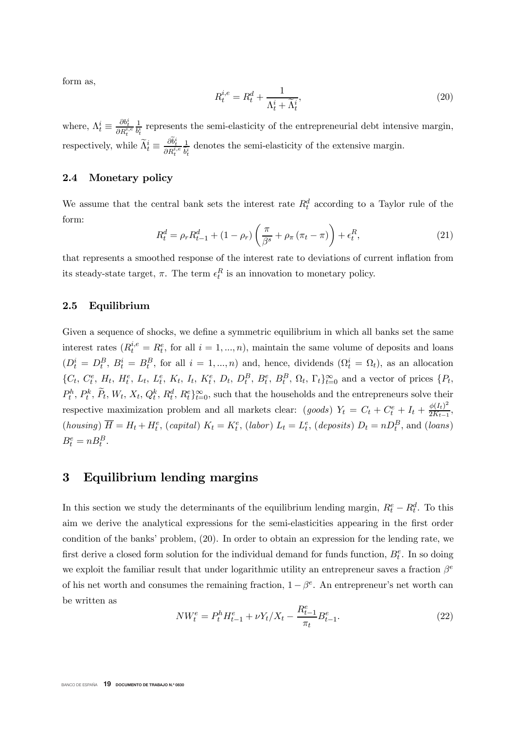form as,

$$
R_t^{i,e} = R_t^d + \frac{1}{\Lambda_t^i + \widetilde{\Lambda}_t^i},\tag{20}
$$

where,  $\Lambda_t^i \equiv$  $\frac{\partial b_t^i}{\partial R_t^{i,e}}$  $\frac{1}{b_t^i}$  represents the semi-elasticity of the entrepreneurial debt intensive margin, respectively, while  $\widetilde{\Lambda}_t^i \equiv \frac{\partial \widetilde{b}_t^i}{\partial R_t^{i,e}}$ 1  $\frac{1}{\tilde{b}_t^i}$  denotes the semi-elasticity of the extensive margin.

#### 2.4 Monetary policy

We assume that the central bank sets the interest rate  $R_t^d$  according to a Taylor rule of the form:

$$
R_t^d = \rho_r R_{t-1}^d + (1 - \rho_r) \left( \frac{\pi}{\beta^s} + \rho_\pi (\pi_t - \pi) \right) + \epsilon_t^R,
$$
\n(21)

that represents a smoothed response of the interest rate to deviations of current inflation from its steady-state target,  $\pi$ . The term  $\epsilon_t^R$  is an innovation to monetary policy.

#### 2.5 Equilibrium

Given a sequence of shocks, we define a symmetric equilibrium in which all banks set the same interest rates  $(R_t^{i,e} = R_t^e$ , for all  $i = 1, ..., n$ , maintain the same volume of deposits and loans  $(D_t^i = D_t^B, B_t^i = B_t^B$ , for all  $i = 1, ..., n$ ) and, hence, dividends  $(\Omega_t^i = \Omega_t)$ , as an allocation {Fw> F<sup>h</sup> <sup>w</sup> > Kw> K<sup>h</sup> <sup>w</sup> > Ow> O<sup>h</sup> w> Nw> Lw> N<sup>h</sup> <sup>w</sup> > Gw> G<sup>E</sup> <sup>w</sup> > E<sup>h</sup> <sup>w</sup> > E<sup>E</sup> <sup>w</sup> > <sup>w</sup>> w}" <sup>w</sup>=0 and a vector of prices {Sw>  $P_t^h$ ,  $P_t^k$ ,  $\widetilde{P}_t$ ,  $W_t$ ,  $X_t$ ,  $Q_t^k$ ,  $R_t^d$ ,  $R_t^e$ ,  $\widetilde{P}_{t=0}$ , such that the households and the entrepreneurs solve their respective maximization problem and all markets clear: (goods)  $Y_t = C_t + C_t^e + I_t + \frac{\phi(I_t)^2}{2K_{t-1}},$ (housing)  $\overline{H} = H_t + H_t^e$ , (capital)  $K_t = K_t^e$ , (labor)  $L_t = L_t^e$ , (deposits)  $D_t = nD_t^B$ , and (loans)  $B_t^e = n B_t^B$ .

### 3 Equilibrium lending margins

In this section we study the determinants of the equilibrium lending margin,  $R_t^e - R_t^d$ . To this aim we derive the analytical expressions for the semi-elasticities appearing in the first order condition of the banks' problem, (20). In order to obtain an expression for the lending rate, we first derive a closed form solution for the individual demand for funds function,  $B_t^e$ . In so doing we exploit the familiar result that under logarithmic utility an entrepreneur saves a fraction  $\beta^e$ of his net worth and consumes the remaining fraction,  $1 - \beta^e$ . An entrepreneur's net worth can be written as

$$
NW_t^e = P_t^h H_{t-1}^e + \nu Y_t / X_t - \frac{R_{t-1}^e}{\pi_t} B_{t-1}^e.
$$
\n
$$
(22)
$$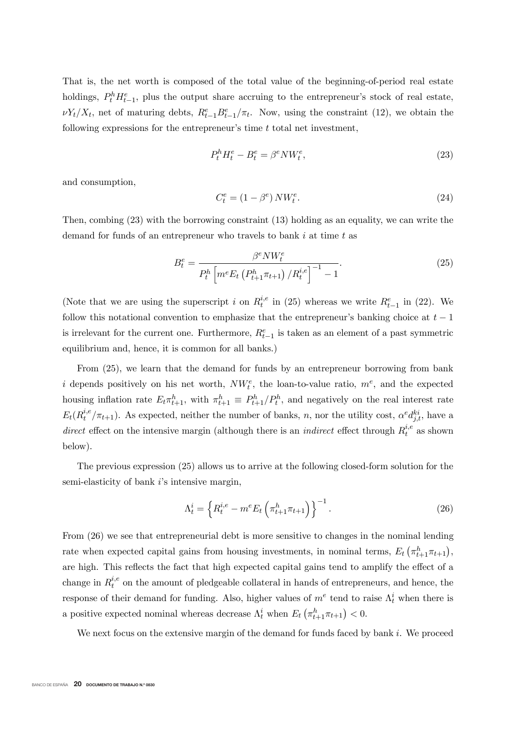That is, the net worth is composed of the total value of the beginning-of-period real estate holdings,  $P_t^h H_{t-1}^e$ , plus the output share accruing to the entrepreneur's stock of real estate,  $\nu Y_t/X_t$ , net of maturing debts,  $R_{t-1}^e B_{t-1}^e/\pi_t$ . Now, using the constraint (12), we obtain the following expressions for the entrepreneur's time  $t$  total net investment,

$$
P_t^h H_t^e - B_t^e = \beta^e N W_t^e,\tag{23}
$$

and consumption,

$$
C_t^e = (1 - \beta^e) N W_t^e. \tag{24}
$$

Then, combing (23) with the borrowing constraint (13) holding as an equality, we can write the demand for funds of an entrepreneur who travels to bank  $i$  at time  $t$  as

$$
B_t^e = \frac{\beta^e N W_t^e}{P_t^h \left[ m^e E_t \left( P_{t+1}^h \pi_{t+1} \right) / R_t^{i,e} \right]^{-1} - 1}.
$$
 (25)

(Note that we are using the superscript i on  $R_t^{i,e}$  in (25) whereas we write  $R_{t-1}^e$  in (22). We follow this notational convention to emphasize that the entrepreneur's banking choice at  $t-1$ is irrelevant for the current one. Furthermore,  $R_{t-1}^e$  is taken as an element of a past symmetric equilibrium and, hence, it is common for all banks.)

From (25), we learn that the demand for funds by an entrepreneur borrowing from bank i depends positively on his net worth,  $NW_t^e$ , the loan-to-value ratio,  $m^e$ , and the expected housing inflation rate  $E_t \pi_{t+1}^h$ , with  $\pi_{t+1}^h \equiv P_{t+1}^h / P_t^h$ , and negatively on the real interest rate  $E_t(R_t^{i,e}/\pi_{t+1})$ . As expected, neither the number of banks, n, nor the utility cost,  $\alpha^e d_{j,t}^{ki}$ , have a direct effect on the intensive margin (although there is an *indirect* effect through  $R_t^{i,e}$  as shown below).

The previous expression (25) allows us to arrive at the following closed-form solution for the semi-elasticity of bank  $i$ 's intensive margin,

$$
\Lambda_t^i = \left\{ R_t^{i,e} - m^e E_t \left( \pi_{t+1}^h \pi_{t+1} \right) \right\}^{-1}.
$$
\n(26)

From (26) we see that entrepreneurial debt is more sensitive to changes in the nominal lending rate when expected capital gains from housing investments, in nominal terms,  $E_t\left(\pi_{t+1}^h \pi_{t+1}\right)$ , are high. This reflects the fact that high expected capital gains tend to amplify the effect of a change in  $R_t^{i,e}$  on the amount of pledgeable collateral in hands of entrepreneurs, and hence, the response of their demand for funding. Also, higher values of  $m^e$  tend to raise  $\Lambda_t^i$  when there is a positive expected nominal whereas decrease  $\Lambda_t^i$  when  $E_t\left(\pi_{t+1}^h \pi_{t+1}\right) < 0$ .

We next focus on the extensive margin of the demand for funds faced by bank  $i$ . We proceed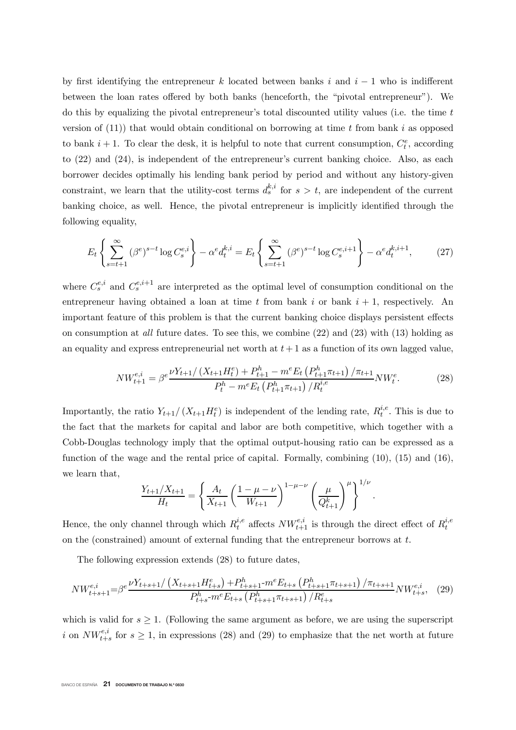by first identifying the entrepreneur k located between banks i and  $i-1$  who is indifferent between the loan rates offered by both banks (henceforth, the "pivotal entrepreneur"). We do this by equalizing the pivotal entrepreneur's total discounted utility values (i.e. the time  $t$ version of  $(11)$ ) that would obtain conditional on borrowing at time t from bank i as opposed to bank  $i + 1$ . To clear the desk, it is helpful to note that current consumption,  $C_t^e$ , according to (22) and (24), is independent of the entrepreneur's current banking choice. Also, as each borrower decides optimally his lending bank period by period and without any history-given constraint, we learn that the utility-cost terms  $d_s^{k,i}$  for  $s > t$ , are independent of the current banking choice, as well. Hence, the pivotal entrepreneur is implicitly identified through the following equality,

$$
E_t \left\{ \sum_{s=t+1}^{\infty} (\beta^e)^{s-t} \log C_s^{e,i} \right\} - \alpha^e d_t^{k,i} = E_t \left\{ \sum_{s=t+1}^{\infty} (\beta^e)^{s-t} \log C_s^{e,i+1} \right\} - \alpha^e d_t^{k,i+1},\tag{27}
$$

where  $C_s^{e,i}$  and  $C_s^{e,i+1}$  are interpreted as the optimal level of consumption conditional on the entrepreneur having obtained a loan at time t from bank i or bank  $i + 1$ , respectively. An important feature of this problem is that the current banking choice displays persistent effects on consumption at all future dates. To see this, we combine  $(22)$  and  $(23)$  with  $(13)$  holding as an equality and express entrepreneurial net worth at  $t+1$  as a function of its own lagged value,

$$
NW_{t+1}^{e,i} = \beta^e \frac{\nu Y_{t+1} / \left(X_{t+1} H_t^e\right) + P_{t+1}^h - m^e E_t \left(P_{t+1}^h \pi_{t+1}\right) / \pi_{t+1}}{P_t^h - m^e E_t \left(P_{t+1}^h \pi_{t+1}\right) / R_t^{i,e}} NW_t^e.
$$
 (28)

Importantly, the ratio  $Y_{t+1}/(X_{t+1}H_t^e)$  is independent of the lending rate,  $R_t^{i,e}$ . This is due to the fact that the markets for capital and labor are both competitive, which together with a Cobb-Douglas technology imply that the optimal output-housing ratio can be expressed as a function of the wage and the rental price of capital. Formally, combining (10), (15) and (16), we learn that,

$$
\frac{Y_{t+1}/X_{t+1}}{H_t} = \left\{ \frac{A_t}{X_{t+1}} \left( \frac{1-\mu-\nu}{W_{t+1}} \right)^{1-\mu-\nu} \left( \frac{\mu}{Q_{t+1}^k} \right)^{\mu} \right\}^{1/\nu}.
$$

Hence, the only channel through which  $R_t^{i,e}$  affects  $NW_{t+1}^{e,i}$  is through the direct effect of  $R_t^{i,e}$ on the (constrained) amount of external funding that the entrepreneur borrows at  $t$ .

The following expression extends (28) to future dates,

$$
NW_{t+s+1}^{e,i} = \beta^e \frac{\nu Y_{t+s+1}/\left(X_{t+s+1}H_{t+s}^e\right) + P_{t+s+1}^h \cdot m^e E_{t+s}\left(P_{t+s+1}^h \pi_{t+s+1}\right)/\pi_{t+s+1}}{P_{t+s}^h \cdot m^e E_{t+s}\left(P_{t+s+1}^h \pi_{t+s+1}\right)/R_{t+s}^e} NW_{t+s}^{e,i}, \tag{29}
$$

which is valid for  $s \geq 1$ . (Following the same argument as before, we are using the superscript i on  $NW_{t+s}^{e,i}$  for  $s \geq 1$ , in expressions (28) and (29) to emphasize that the net worth at future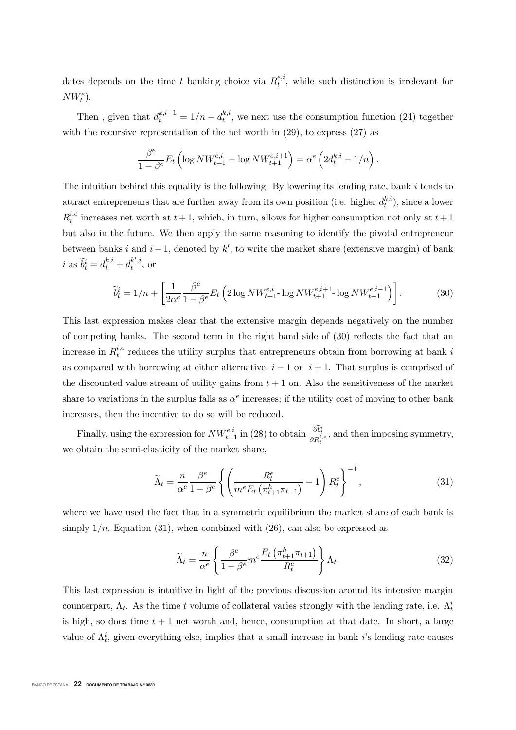dates depends on the time t banking choice via  $R_t^{e,i}$ , while such distinction is irrelevant for  $NW_t^e$ ).

Then, given that  $d_t^{k,i+1} = 1/n - d_t^{k,i}$ , we next use the consumption function (24) together with the recursive representation of the net worth in (29), to express (27) as

$$
\frac{\beta^e}{1-\beta^e}E_t\left(\log N W^{e,i}_{t+1} - \log N W^{e,i+1}_{t+1}\right) = \alpha^e\left(2d_t^{k,i} - 1/n\right).
$$

The intuition behind this equality is the following. By lowering its lending rate, bank  $i$  tends to attract entrepreneurs that are further away from its own position (i.e. higher  $d_t^{k,i}$ ), since a lower  $R_t^{i,e}$  increases net worth at  $t+1$ , which, in turn, allows for higher consumption not only at  $t+1$ but also in the future. We then apply the same reasoning to identify the pivotal entrepreneur between banks i and  $i-1$ , denoted by k', to write the market share (extensive margin) of bank *i* as  $\widetilde{b}_t^i = d_t^{k,i} + d_t^{k',i}$ , or

$$
\widetilde{b}_t^i = 1/n + \left[ \frac{1}{2\alpha^e} \frac{\beta^e}{1 - \beta^e} E_t \left( 2 \log N W_{t+1}^{e,i} \log N W_{t+1}^{e,i+1} \log N W_{t+1}^{e,i-1} \right) \right]. \tag{30}
$$

This last expression makes clear that the extensive margin depends negatively on the number of competing banks. The second term in the right hand side of  $(30)$  reflects the fact that an increase in  $R_t^{i,e}$  reduces the utility surplus that entrepreneurs obtain from borrowing at bank i as compared with borrowing at either alternative,  $i - 1$  or  $i + 1$ . That surplus is comprised of the discounted value stream of utility gains from  $t + 1$  on. Also the sensitiveness of the market share to variations in the surplus falls as  $\alpha^e$  increases; if the utility cost of moving to other bank increases, then the incentive to do so will be reduced.

Finally, using the expression for  $NW_{t+1}^{e,i}$  in (28) to obtain  $\frac{\partial \tilde{b}_t^i}{\partial R_t^{i,e}}$ , and then imposing symmetry, we obtain the semi-elasticity of the market share,

$$
\widetilde{\Lambda}_t = \frac{n}{\alpha^e} \frac{\beta^e}{1 - \beta^e} \left\{ \left( \frac{R_t^e}{m^e E_t \left( \pi_{t+1}^h \pi_{t+1} \right)} - 1 \right) R_t^e \right\}^{-1},\tag{31}
$$

where we have used the fact that in a symmetric equilibrium the market share of each bank is simply  $1/n$ . Equation (31), when combined with (26), can also be expressed as

$$
\widetilde{\Lambda}_t = \frac{n}{\alpha^e} \left\{ \frac{\beta^e}{1 - \beta^e} m^e \frac{E_t \left( \pi^h_{t+1} \pi_{t+1} \right)}{R_t^e} \right\} \Lambda_t.
$$
\n(32)

This last expression is intuitive in light of the previous discussion around its intensive margin counterpart,  $\Lambda_t$ . As the time t volume of collateral varies strongly with the lending rate, i.e.  $\Lambda_t^i$ is high, so does time  $t + 1$  net worth and, hence, consumption at that date. In short, a large value of  $\Lambda_t^i$ , given everything else, implies that a small increase in bank *i*'s lending rate causes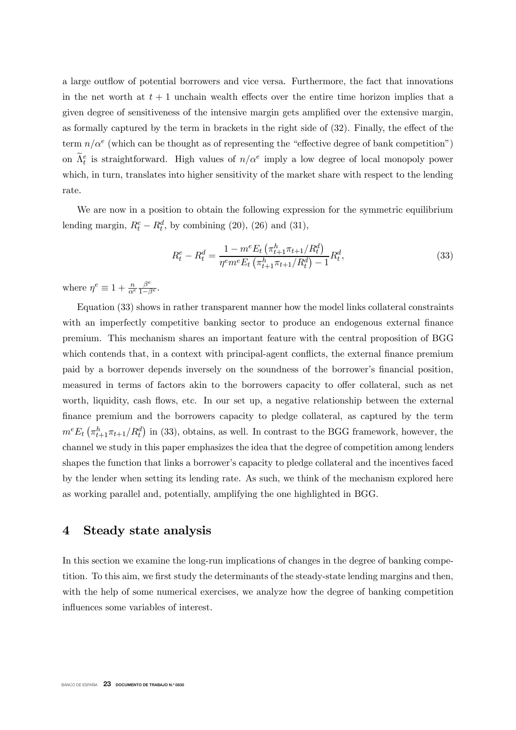a large outflow of potential borrowers and vice versa. Furthermore, the fact that innovations in the net worth at  $t + 1$  unchain wealth effects over the entire time horizon implies that a given degree of sensitiveness of the intensive margin gets amplied over the extensive margin, as formally captured by the term in brackets in the right side of  $(32)$ . Finally, the effect of the term  $n/\alpha^e$  (which can be thought as of representing the "effective degree of bank competition") on  $\tilde{\Lambda}^e_t$  is straightforward. High values of  $n/\alpha^e$  imply a low degree of local monopoly power which, in turn, translates into higher sensitivity of the market share with respect to the lending rate.

We are now in a position to obtain the following expression for the symmetric equilibrium lending margin,  $R_t^e - R_t^d$ , by combining (20), (26) and (31),

$$
R_t^e - R_t^d = \frac{1 - m^e E_t \left( \pi_{t+1}^h \pi_{t+1} / R_t^d \right)}{\eta^e m^e E_t \left( \pi_{t+1}^h \pi_{t+1} / R_t^d \right) - 1} R_t^d,
$$
\n(33)

where  $\eta^e \equiv 1 + \frac{n}{\alpha^e}$  $\frac{\beta^e}{1-\beta^e}$ .

Equation (33) shows in rather transparent manner how the model links collateral constraints with an imperfectly competitive banking sector to produce an endogenous external finance premium. This mechanism shares an important feature with the central proposition of BGG which contends that, in a context with principal-agent conflicts, the external finance premium paid by a borrower depends inversely on the soundness of the borrower's nancial position, measured in terms of factors akin to the borrowers capacity to offer collateral, such as net worth, liquidity, cash flows, etc. In our set up, a negative relationship between the external finance premium and the borrowers capacity to pledge collateral, as captured by the term  $m^e E_t \left( \pi_{t+1}^h \pi_{t+1}/R_t^d \right)$  in (33), obtains, as well. In contrast to the BGG framework, however, the channel we study in this paper emphasizes the idea that the degree of competition among lenders shapes the function that links a borrower's capacity to pledge collateral and the incentives faced by the lender when setting its lending rate. As such, we think of the mechanism explored here as working parallel and, potentially, amplifying the one highlighted in BGG.

#### 4 Steady state analysis

In this section we examine the long-run implications of changes in the degree of banking competition. To this aim, we first study the determinants of the steady-state lending margins and then, with the help of some numerical exercises, we analyze how the degree of banking competition influences some variables of interest.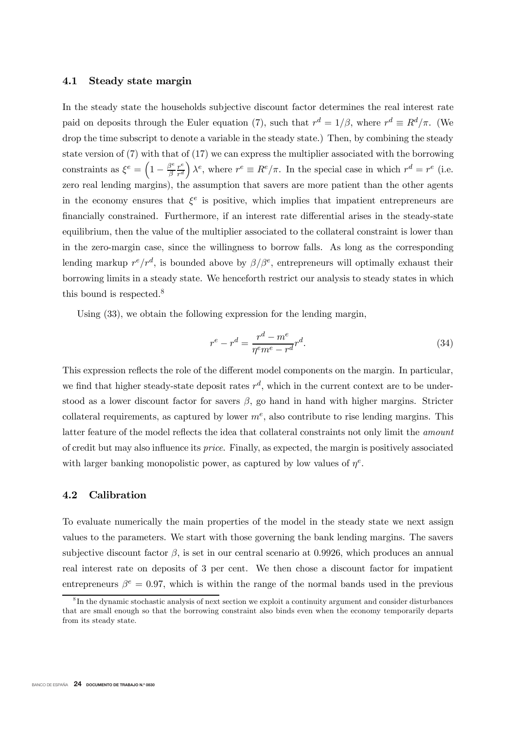#### 4.1 Steady state margin

In the steady state the households subjective discount factor determines the real interest rate paid on deposits through the Euler equation (7), such that  $r^d = 1/\beta$ , where  $r^d \equiv R^d/\pi$ . (We drop the time subscript to denote a variable in the steady state.) Then, by combining the steady state version of (7) with that of (17) we can express the multiplier associated with the borrowing constraints as  $\xi^e = \left(1 - \frac{\beta^e}{\beta} \frac{r^e}{r^d}\right)$  $\int \lambda^e$ , where  $r^e \equiv R^e / \pi$ . In the special case in which  $r^d = r^e$  (i.e. zero real lending margins), the assumption that savers are more patient than the other agents in the economy ensures that  $\xi^e$  is positive, which implies that impatient entrepreneurs are financially constrained. Furthermore, if an interest rate differential arises in the steady-state equilibrium, then the value of the multiplier associated to the collateral constraint is lower than in the zero-margin case, since the willingness to borrow falls. As long as the corresponding lending markup  $r^e/r^d$ , is bounded above by  $\beta/\beta^e$ , entrepreneurs will optimally exhaust their borrowing limits in a steady state. We henceforth restrict our analysis to steady states in which this bound is respected.<sup>8</sup>

Using (33), we obtain the following expression for the lending margin,

$$
r^e - r^d = \frac{r^d - m^e}{\eta^e m^e - r^d} r^d.
$$
\n
$$
(34)
$$

This expression reflects the role of the different model components on the margin. In particular, we find that higher steady-state deposit rates  $r^d$ , which in the current context are to be understood as a lower discount factor for savers  $\beta$ , go hand in hand with higher margins. Stricter collateral requirements, as captured by lower  $m<sup>e</sup>$ , also contribute to rise lending margins. This latter feature of the model reflects the idea that collateral constraints not only limit the *amount* of credit but may also influence its *price*. Finally, as expected, the margin is positively associated with larger banking monopolistic power, as captured by low values of  $\eta^e$ .

#### 4.2 Calibration

To evaluate numerically the main properties of the model in the steady state we next assign values to the parameters. We start with those governing the bank lending margins. The savers subjective discount factor  $\beta$ , is set in our central scenario at 0.9926, which produces an annual real interest rate on deposits of 3 per cent. We then chose a discount factor for impatient entrepreneurs  $\beta^e = 0.97$ , which is within the range of the normal bands used in the previous

 ${}^{8}$ In the dynamic stochastic analysis of next section we exploit a continuity argument and consider disturbances that are small enough so that the borrowing constraint also binds even when the economy temporarily departs from its steady state.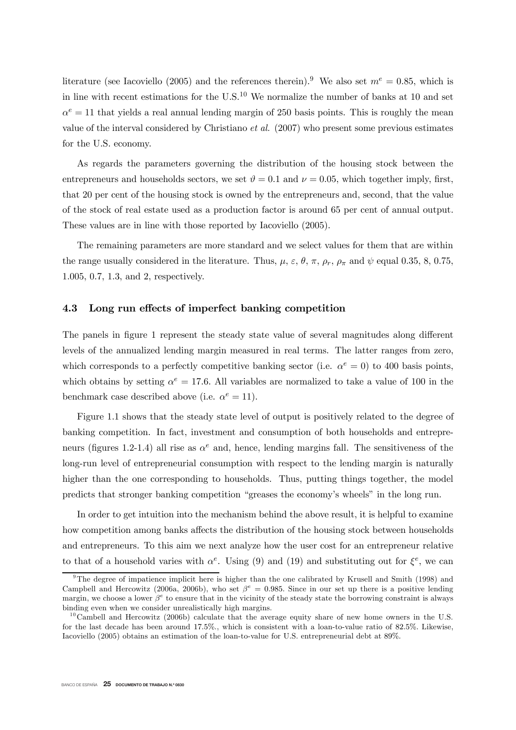literature (see Iacoviello (2005) and the references therein).<sup>9</sup> We also set  $m^e = 0.85$ , which is in line with recent estimations for the U.S.<sup>10</sup> We normalize the number of banks at 10 and set  $\alpha^e = 11$  that yields a real annual lending margin of 250 basis points. This is roughly the mean value of the interval considered by Christiano et al. (2007) who present some previous estimates for the U.S. economy.

As regards the parameters governing the distribution of the housing stock between the entrepreneurs and households sectors, we set  $\vartheta = 0.1$  and  $\nu = 0.05$ , which together imply, first, that 20 per cent of the housing stock is owned by the entrepreneurs and, second, that the value of the stock of real estate used as a production factor is around 65 per cent of annual output. These values are in line with those reported by Iacoviello (2005).

The remaining parameters are more standard and we select values for them that are within the range usually considered in the literature. Thus,  $\mu$ ,  $\varepsilon$ ,  $\theta$ ,  $\pi$ ,  $\rho_r$ ,  $\rho_{\pi}$  and  $\psi$  equal 0.35, 8, 0.75, 1.005, 0.7, 1.3, and 2, respectively.

#### 4.3 Long run effects of imperfect banking competition

The panels in figure 1 represent the steady state value of several magnitudes along different levels of the annualized lending margin measured in real terms. The latter ranges from zero, which corresponds to a perfectly competitive banking sector (i.e.  $\alpha^e = 0$ ) to 400 basis points, which obtains by setting  $\alpha^e = 17.6$ . All variables are normalized to take a value of 100 in the benchmark case described above (i.e.  $\alpha^e = 11$ ).

Figure 1.1 shows that the steady state level of output is positively related to the degree of banking competition. In fact, investment and consumption of both households and entrepreneurs (figures 1.2-1.4) all rise as  $\alpha^e$  and, hence, lending margins fall. The sensitiveness of the long-run level of entrepreneurial consumption with respect to the lending margin is naturally higher than the one corresponding to households. Thus, putting things together, the model predicts that stronger banking competition "greases the economy's wheels" in the long run.

In order to get intuition into the mechanism behind the above result, it is helpful to examine how competition among banks affects the distribution of the housing stock between households and entrepreneurs. To this aim we next analyze how the user cost for an entrepreneur relative to that of a household varies with  $\alpha^e$ . Using (9) and (19) and substituting out for  $\xi^e$ , we can

<sup>&</sup>lt;sup>9</sup>The degree of impatience implicit here is higher than the one calibrated by Krusell and Smith (1998) and Campbell and Hercowitz (2006a, 2006b), who set  $\beta^e = 0.985$ . Since in our set up there is a positive lending margin, we choose a lower  $\beta^e$  to ensure that in the vicinity of the steady state the borrowing constraint is always binding even when we consider unrealistically high margins.

 $10$ Cambell and Hercowitz (2006b) calculate that the average equity share of new home owners in the U.S. for the last decade has been around  $17.5\%$ ., which is consistent with a loan-to-value ratio of 82.5%. Likewise, Iacoviello (2005) obtains an estimation of the loan-to-value for U.S. entrepreneurial debt at 89%.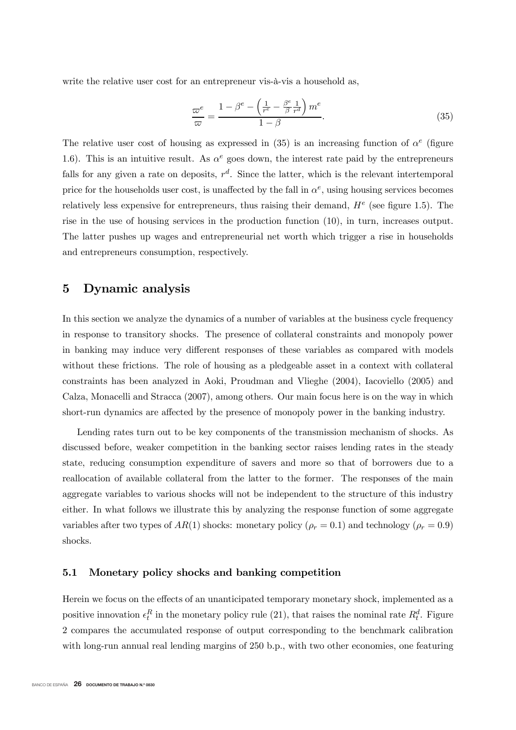write the relative user cost for an entrepreneur vis-à-vis a household as,

$$
\frac{\varpi^e}{\varpi} = \frac{1 - \beta^e - \left(\frac{1}{r^e} - \frac{\beta^e}{\beta} \frac{1}{r^d}\right) m^e}{1 - \beta}.
$$
\n(35)

The relative user cost of housing as expressed in (35) is an increasing function of  $\alpha^e$  (figure 1.6). This is an intuitive result. As  $\alpha^e$  goes down, the interest rate paid by the entrepreneurs falls for any given a rate on deposits,  $r^d$ . Since the latter, which is the relevant intertemporal price for the households user cost, is unaffected by the fall in  $\alpha^e$ , using housing services becomes relatively less expensive for entrepreneurs, thus raising their demand,  $H<sup>e</sup>$  (see figure 1.5). The rise in the use of housing services in the production function (10), in turn, increases output. The latter pushes up wages and entrepreneurial net worth which trigger a rise in households and entrepreneurs consumption, respectively.

## 5 Dynamic analysis

In this section we analyze the dynamics of a number of variables at the business cycle frequency in response to transitory shocks. The presence of collateral constraints and monopoly power in banking may induce very different responses of these variables as compared with models without these frictions. The role of housing as a pledgeable asset in a context with collateral constraints has been analyzed in Aoki, Proudman and Vlieghe (2004), Iacoviello (2005) and Calza, Monacelli and Stracca (2007), among others. Our main focus here is on the way in which short-run dynamics are affected by the presence of monopoly power in the banking industry.

Lending rates turn out to be key components of the transmission mechanism of shocks. As discussed before, weaker competition in the banking sector raises lending rates in the steady state, reducing consumption expenditure of savers and more so that of borrowers due to a reallocation of available collateral from the latter to the former. The responses of the main aggregate variables to various shocks will not be independent to the structure of this industry either. In what follows we illustrate this by analyzing the response function of some aggregate variables after two types of  $AR(1)$  shocks: monetary policy ( $\rho_r = 0.1$ ) and technology ( $\rho_r = 0.9$ ) shocks.

#### 5.1 Monetary policy shocks and banking competition

Herein we focus on the effects of an unanticipated temporary monetary shock, implemented as a positive innovation  $\epsilon_t^R$  in the monetary policy rule (21), that raises the nominal rate  $R_t^d$ . Figure 2 compares the accumulated response of output corresponding to the benchmark calibration with long-run annual real lending margins of 250 b.p., with two other economies, one featuring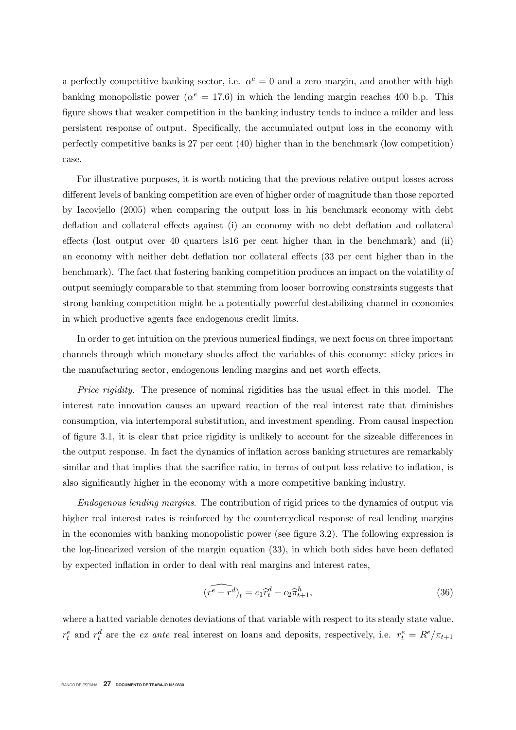a perfectly competitive banking sector, i.e.  $\alpha^e = 0$  and a zero margin, and another with high banking monopolistic power ( $\alpha^e = 17.6$ ) in which the lending margin reaches 400 b.p. This figure shows that weaker competition in the banking industry tends to induce a milder and less persistent response of output. Specifically, the accumulated output loss in the economy with perfectly competitive banks is 27 per cent (40) higher than in the benchmark (low competition) case.

For illustrative purposes, it is worth noticing that the previous relative output losses across different levels of banking competition are even of higher order of magnitude than those reported by Iacoviello (2005) when comparing the output loss in his benchmark economy with debt deflation and collateral effects against (i) an economy with no debt deflation and collateral effects (lost output over 40 quarters is  $16$  per cent higher than in the benchmark) and (ii) an economy with neither debt deflation nor collateral effects (33 per cent higher than in the benchmark). The fact that fostering banking competition produces an impact on the volatility of output seemingly comparable to that stemming from looser borrowing constraints suggests that strong banking competition might be a potentially powerful destabilizing channel in economies in which productive agents face endogenous credit limits.

In order to get intuition on the previous numerical findings, we next focus on three important channels through which monetary shocks affect the variables of this economy: sticky prices in the manufacturing sector, endogenous lending margins and net worth effects.

Price rigidity. The presence of nominal rigidities has the usual effect in this model. The interest rate innovation causes an upward reaction of the real interest rate that diminishes consumption, via intertemporal substitution, and investment spending. From causal inspection of figure 3.1, it is clear that price rigidity is unlikely to account for the sizeable differences in the output response. In fact the dynamics of inflation across banking structures are remarkably similar and that implies that the sacrifice ratio, in terms of output loss relative to inflation, is also significantly higher in the economy with a more competitive banking industry.

Endogenous lending margins. The contribution of rigid prices to the dynamics of output via higher real interest rates is reinforced by the countercyclical response of real lending margins in the economies with banking monopolistic power (see figure  $3.2$ ). The following expression is the log-linearized version of the margin equation  $(33)$ , in which both sides have been deflated by expected inflation in order to deal with real margins and interest rates,

$$
(\widehat{r^e - r^d})_t = c_1 \widehat{r}_t^d - c_2 \widehat{\pi}_{t+1}^h,\tag{36}
$$

where a hatted variable denotes deviations of that variable with respect to its steady state value.  $r_t^e$  and  $r_t^d$  are the *ex ante* real interest on loans and deposits, respectively, i.e.  $r_t^e = R^e / \pi_{t+1}$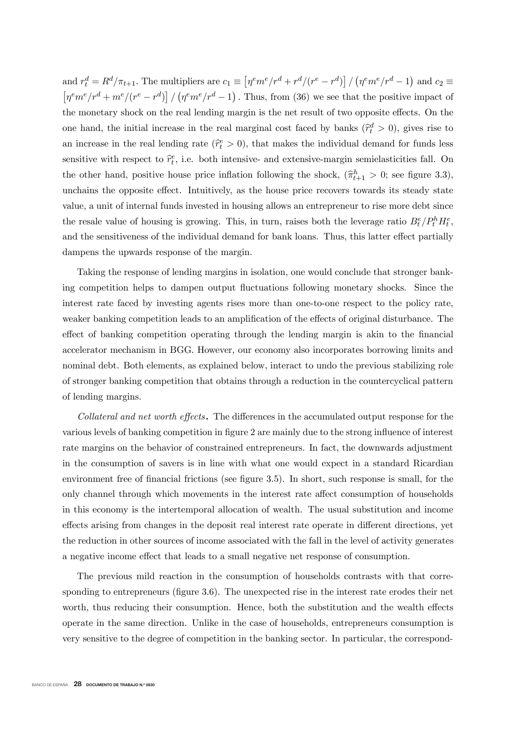and  $r_t^d = R^d / \pi_{t+1}$ . The multipliers are  $c_1 \equiv \left[ \eta^e m^e / r^d + r^d / (r^e - r^d) \right] / (\eta^e m^e / r^d - 1)$  and  $c_2 \equiv$  $\left[\eta^e m^e / r^d + m^e / (r^e - r^d)\right] / (\eta^e m^e / r^d - 1)$ . Thus, from (36) we see that the positive impact of the monetary shock on the real lending margin is the net result of two opposite effects. On the one hand, the initial increase in the real marginal cost faced by banks  $(\hat{r}_t^d > 0)$ , gives rise to an increase in the real lending rate  $(\hat{r}_t^e > 0)$ , that makes the individual demand for funds less sensitive with respect to  $\hat{r}_t^e$ , i.e. both intensive- and extensive-margin semielasticities fall. On the other hand, positive house price inflation following the shock,  $(\hat{\pi}_{t+1}^h > 0)$ ; see figure 3.3), unchains the opposite effect. Intuitively, as the house price recovers towards its steady state value, a unit of internal funds invested in housing allows an entrepreneur to rise more debt since the resale value of housing is growing. This, in turn, raises both the leverage ratio  $B_t^e/P_t^h H_t^e$ , and the sensitiveness of the individual demand for bank loans. Thus, this latter effect partially dampens the upwards response of the margin.

Taking the response of lending margins in isolation, one would conclude that stronger banking competition helps to dampen output fluctuations following monetary shocks. Since the interest rate faced by investing agents rises more than one-to-one respect to the policy rate, weaker banking competition leads to an amplification of the effects of original disturbance. The effect of banking competition operating through the lending margin is akin to the financial accelerator mechanism in BGG. However, our economy also incorporates borrowing limits and nominal debt. Both elements, as explained below, interact to undo the previous stabilizing role of stronger banking competition that obtains through a reduction in the countercyclical pattern of lending margins.

Collateral and net worth effects. The differences in the accumulated output response for the various levels of banking competition in figure 2 are mainly due to the strong influence of interest rate margins on the behavior of constrained entrepreneurs. In fact, the downwards adjustment in the consumption of savers is in line with what one would expect in a standard Ricardian environment free of financial frictions (see figure 3.5). In short, such response is small, for the only channel through which movements in the interest rate affect consumption of households in this economy is the intertemporal allocation of wealth. The usual substitution and income effects arising from changes in the deposit real interest rate operate in different directions, yet the reduction in other sources of income associated with the fall in the level of activity generates a negative income effect that leads to a small negative net response of consumption.

The previous mild reaction in the consumption of households contrasts with that corresponding to entrepreneurs (figure 3.6). The unexpected rise in the interest rate erodes their net worth, thus reducing their consumption. Hence, both the substitution and the wealth effects operate in the same direction. Unlike in the case of households, entrepreneurs consumption is very sensitive to the degree of competition in the banking sector. In particular, the correspond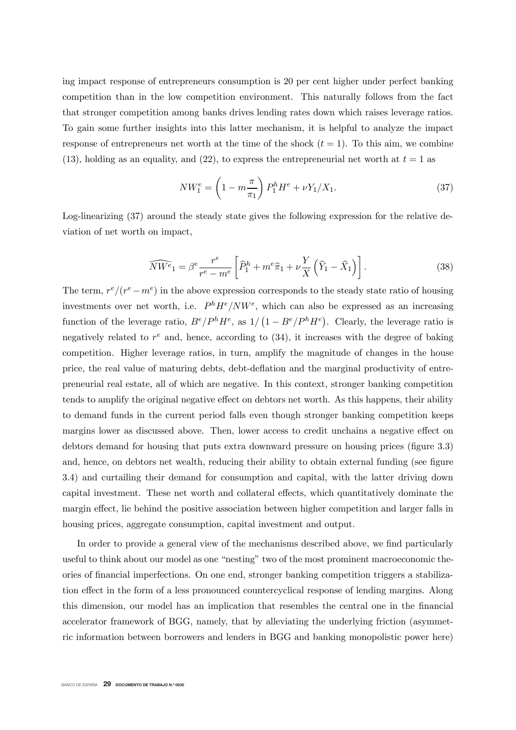ing impact response of entrepreneurs consumption is 20 per cent higher under perfect banking competition than in the low competition environment. This naturally follows from the fact that stronger competition among banks drives lending rates down which raises leverage ratios. To gain some further insights into this latter mechanism, it is helpful to analyze the impact response of entrepreneurs net worth at the time of the shock  $(t = 1)$ . To this aim, we combine (13), holding as an equality, and (22), to express the entrepreneurial net worth at  $t = 1$  as

$$
NW_1^e = \left(1 - m \frac{\pi}{\pi_1}\right) P_1^h H^e + \nu Y_1 / X_1. \tag{37}
$$

Log-linearizing (37) around the steady state gives the following expression for the relative deviation of net worth on impact,

$$
\widehat{NW^e}_1 = \beta^e \frac{r^e}{r^e - m^e} \left[ \widehat{P}_1^h + m^e \widehat{\pi}_1 + \nu \frac{Y}{X} \left( \widehat{Y}_1 - \widehat{X}_1 \right) \right]. \tag{38}
$$

The term,  $r^e/(r^e - m^e)$  in the above expression corresponds to the steady state ratio of housing investments over net worth, i.e.  $P^{h}H^{e}/NW^{e}$ , which can also be expressed as an increasing function of the leverage ratio,  $B^e/P^hH^e$ , as  $1/\left(1 - B^e/P^hH^e\right)$ . Clearly, the leverage ratio is negatively related to  $r^e$  and, hence, according to (34), it increases with the degree of baking competition. Higher leverage ratios, in turn, amplify the magnitude of changes in the house price, the real value of maturing debts, debt-deation and the marginal productivity of entrepreneurial real estate, all of which are negative. In this context, stronger banking competition tends to amplify the original negative effect on debtors net worth. As this happens, their ability to demand funds in the current period falls even though stronger banking competition keeps margins lower as discussed above. Then, lower access to credit unchains a negative effect on debtors demand for housing that puts extra downward pressure on housing prices (figure 3.3) and, hence, on debtors net wealth, reducing their ability to obtain external funding (see figure 3.4) and curtailing their demand for consumption and capital, with the latter driving down capital investment. These net worth and collateral effects, which quantitatively dominate the margin effect, lie behind the positive association between higher competition and larger falls in housing prices, aggregate consumption, capital investment and output.

In order to provide a general view of the mechanisms described above, we find particularly useful to think about our model as one "nesting" two of the most prominent macroeconomic theories of nancial imperfections. On one end, stronger banking competition triggers a stabilization effect in the form of a less pronounced countercyclical response of lending margins. Along this dimension, our model has an implication that resembles the central one in the financial accelerator framework of BGG, namely, that by alleviating the underlying friction (asymmetric information between borrowers and lenders in BGG and banking monopolistic power here)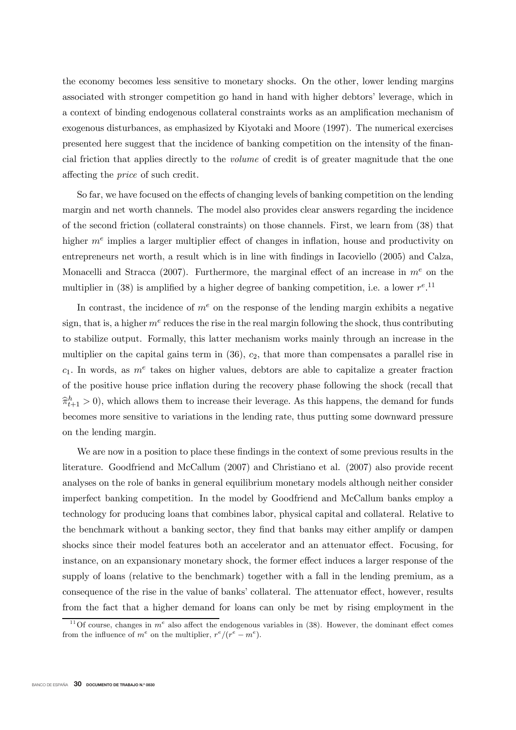the economy becomes less sensitive to monetary shocks. On the other, lower lending margins associated with stronger competition go hand in hand with higher debtors' leverage, which in a context of binding endogenous collateral constraints works as an amplication mechanism of exogenous disturbances, as emphasized by Kiyotaki and Moore (1997). The numerical exercises presented here suggest that the incidence of banking competition on the intensity of the nancial friction that applies directly to the volume of credit is of greater magnitude that the one affecting the *price* of such credit.

So far, we have focused on the effects of changing levels of banking competition on the lending margin and net worth channels. The model also provides clear answers regarding the incidence of the second friction (collateral constraints) on those channels. First, we learn from (38) that higher  $m<sup>e</sup>$  implies a larger multiplier effect of changes in inflation, house and productivity on entrepreneurs net worth, a result which is in line with findings in Iacoviello (2005) and Calza, Monacelli and Stracca (2007). Furthermore, the marginal effect of an increase in  $m<sup>e</sup>$  on the multiplier in (38) is amplified by a higher degree of banking competition, i.e. a lower  $r^{e}$ .<sup>11</sup>

In contrast, the incidence of  $m<sup>e</sup>$  on the response of the lending margin exhibits a negative sign, that is, a higher  $m^e$  reduces the rise in the real margin following the shock, thus contributing to stabilize output. Formally, this latter mechanism works mainly through an increase in the multiplier on the capital gains term in  $(36)$ ,  $c<sub>2</sub>$ , that more than compensates a parallel rise in  $c_1$ . In words, as  $m^e$  takes on higher values, debtors are able to capitalize a greater fraction of the positive house price inflation during the recovery phase following the shock (recall that  $\hat{\pi}_{t+1}^h > 0$ , which allows them to increase their leverage. As this happens, the demand for funds becomes more sensitive to variations in the lending rate, thus putting some downward pressure on the lending margin.

We are now in a position to place these findings in the context of some previous results in the literature. Goodfriend and McCallum (2007) and Christiano et al. (2007) also provide recent analyses on the role of banks in general equilibrium monetary models although neither consider imperfect banking competition. In the model by Goodfriend and McCallum banks employ a technology for producing loans that combines labor, physical capital and collateral. Relative to the benchmark without a banking sector, they find that banks may either amplify or dampen shocks since their model features both an accelerator and an attenuator effect. Focusing, for instance, on an expansionary monetary shock, the former effect induces a larger response of the supply of loans (relative to the benchmark) together with a fall in the lending premium, as a consequence of the rise in the value of banks' collateral. The attenuator effect, however, results from the fact that a higher demand for loans can only be met by rising employment in the

<sup>&</sup>lt;sup>11</sup>Of course, changes in  $m^e$  also affect the endogenous variables in (38). However, the dominant effect comes from the influence of  $m^e$  on the multiplier,  $r^e/(r^e - m^e)$ .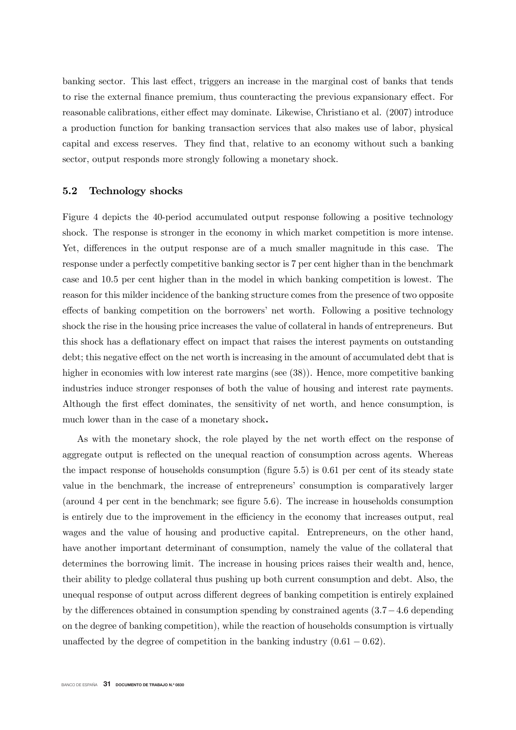banking sector. This last effect, triggers an increase in the marginal cost of banks that tends to rise the external finance premium, thus counteracting the previous expansionary effect. For reasonable calibrations, either effect may dominate. Likewise, Christiano et al. (2007) introduce a production function for banking transaction services that also makes use of labor, physical capital and excess reserves. They find that, relative to an economy without such a banking sector, output responds more strongly following a monetary shock.

#### 5.2 Technology shocks

Figure 4 depicts the 40-period accumulated output response following a positive technology shock. The response is stronger in the economy in which market competition is more intense. Yet, differences in the output response are of a much smaller magnitude in this case. The response under a perfectly competitive banking sector is 7 per cent higher than in the benchmark case and 10.5 per cent higher than in the model in which banking competition is lowest. The reason for this milder incidence of the banking structure comes from the presence of two opposite effects of banking competition on the borrowers' net worth. Following a positive technology shock the rise in the housing price increases the value of collateral in hands of entrepreneurs. But this shock has a deflationary effect on impact that raises the interest payments on outstanding debt; this negative effect on the net worth is increasing in the amount of accumulated debt that is higher in economies with low interest rate margins (see  $(38)$ ). Hence, more competitive banking industries induce stronger responses of both the value of housing and interest rate payments. Although the first effect dominates, the sensitivity of net worth, and hence consumption, is much lower than in the case of a monetary shock.

As with the monetary shock, the role played by the net worth effect on the response of aggregate output is reflected on the unequal reaction of consumption across agents. Whereas the impact response of households consumption (figure  $5.5$ ) is 0.61 per cent of its steady state value in the benchmark, the increase of entrepreneurs' consumption is comparatively larger (around 4 per cent in the benchmark; see figure 5.6). The increase in households consumption is entirely due to the improvement in the efficiency in the economy that increases output, real wages and the value of housing and productive capital. Entrepreneurs, on the other hand, have another important determinant of consumption, namely the value of the collateral that determines the borrowing limit. The increase in housing prices raises their wealth and, hence, their ability to pledge collateral thus pushing up both current consumption and debt. Also, the unequal response of output across different degrees of banking competition is entirely explained by the differences obtained in consumption spending by constrained agents  $(3.7-4.6$  depending on the degree of banking competition), while the reaction of households consumption is virtually unaffected by the degree of competition in the banking industry  $(0.61 - 0.62)$ .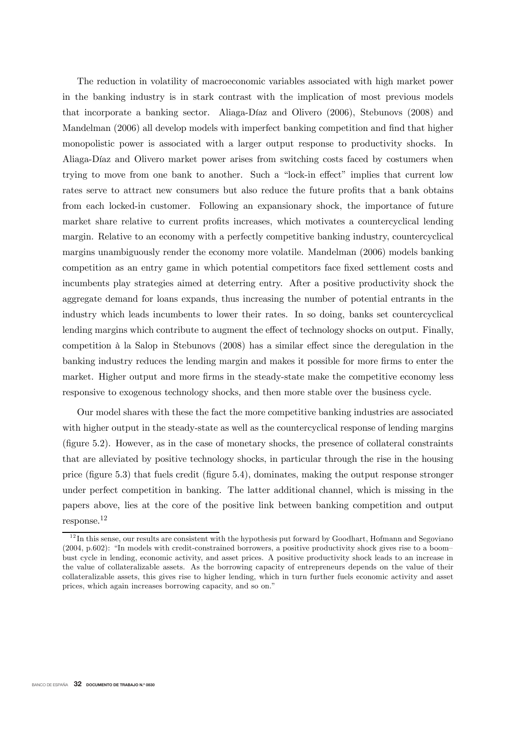The reduction in volatility of macroeconomic variables associated with high market power in the banking industry is in stark contrast with the implication of most previous models that incorporate a banking sector. Aliaga-Díaz and Olivero (2006), Stebunovs (2008) and Mandelman (2006) all develop models with imperfect banking competition and find that higher monopolistic power is associated with a larger output response to productivity shocks. In Aliaga-Díaz and Olivero market power arises from switching costs faced by costumers when trying to move from one bank to another. Such a "lock-in effect" implies that current low rates serve to attract new consumers but also reduce the future profits that a bank obtains from each locked-in customer. Following an expansionary shock, the importance of future market share relative to current profits increases, which motivates a countercyclical lending margin. Relative to an economy with a perfectly competitive banking industry, countercyclical margins unambiguously render the economy more volatile. Mandelman (2006) models banking competition as an entry game in which potential competitors face fixed settlement costs and incumbents play strategies aimed at deterring entry. After a positive productivity shock the aggregate demand for loans expands, thus increasing the number of potential entrants in the industry which leads incumbents to lower their rates. In so doing, banks set countercyclical lending margins which contribute to augment the effect of technology shocks on output. Finally, competition à la Salop in Stebunovs (2008) has a similar effect since the deregulation in the banking industry reduces the lending margin and makes it possible for more firms to enter the market. Higher output and more firms in the steady-state make the competitive economy less responsive to exogenous technology shocks, and then more stable over the business cycle.

Our model shares with these the fact the more competitive banking industries are associated with higher output in the steady-state as well as the countercyclical response of lending margins  $(g)$  (figure 5.2). However, as in the case of monetary shocks, the presence of collateral constraints that are alleviated by positive technology shocks, in particular through the rise in the housing price (figure  $5.3$ ) that fuels credit (figure  $5.4$ ), dominates, making the output response stronger under perfect competition in banking. The latter additional channel, which is missing in the papers above, lies at the core of the positive link between banking competition and output response.12

 $12$ In this sense, our results are consistent with the hypothesis put forward by Goodhart, Hofmann and Segoviano (2004, p.602): "In models with credit-constrained borrowers, a positive productivity shock gives rise to a boom bust cycle in lending, economic activity, and asset prices. A positive productivity shock leads to an increase in the value of collateralizable assets. As the borrowing capacity of entrepreneurs depends on the value of their collateralizable assets, this gives rise to higher lending, which in turn further fuels economic activity and asset prices, which again increases borrowing capacity, and so on."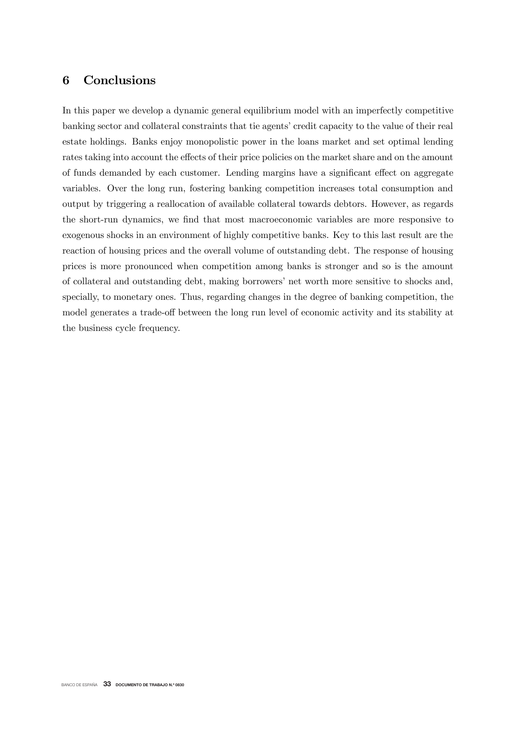## 6 Conclusions

In this paper we develop a dynamic general equilibrium model with an imperfectly competitive banking sector and collateral constraints that tie agents' credit capacity to the value of their real estate holdings. Banks enjoy monopolistic power in the loans market and set optimal lending rates taking into account the effects of their price policies on the market share and on the amount of funds demanded by each customer. Lending margins have a significant effect on aggregate variables. Over the long run, fostering banking competition increases total consumption and output by triggering a reallocation of available collateral towards debtors. However, as regards the short-run dynamics, we find that most macroeconomic variables are more responsive to exogenous shocks in an environment of highly competitive banks. Key to this last result are the reaction of housing prices and the overall volume of outstanding debt. The response of housing prices is more pronounced when competition among banks is stronger and so is the amount of collateral and outstanding debt, making borrowers' net worth more sensitive to shocks and, specially, to monetary ones. Thus, regarding changes in the degree of banking competition, the model generates a trade-off between the long run level of economic activity and its stability at the business cycle frequency.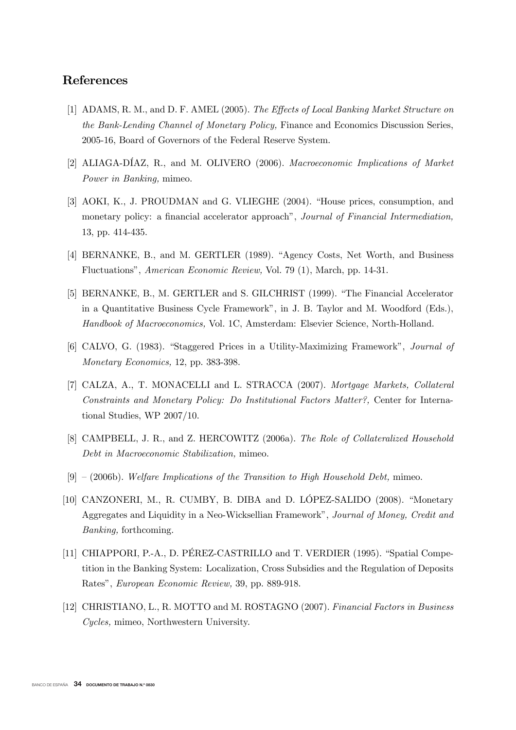## References

- [1] ADAMS, R. M., and D. F. AMEL (2005). The Effects of Local Banking Market Structure on the Bank-Lending Channel of Monetary Policy, Finance and Economics Discussion Series, 2005-16, Board of Governors of the Federal Reserve System.
- [2] ALIAGA-DÍAZ, R., and M. OLIVERO (2006). Macroeconomic Implications of Market Power in Banking, mimeo.
- [3] AOKI, K., J. PROUDMAN and G. VLIEGHE (2004). "House prices, consumption, and monetary policy: a financial accelerator approach", Journal of Financial Intermediation, 13, pp. 414-435.
- [4] BERNANKE, B., and M. GERTLER (1989). "Agency Costs, Net Worth, and Business Fluctuations", American Economic Review, Vol. 79 (1), March, pp. 14-31.
- [5] BERNANKE, B., M. GERTLER and S. GILCHRIST (1999). "The Financial Accelerator in a Quantitative Business Cycle Framework", in J. B. Taylor and M. Woodford (Eds.), Handbook of Macroeconomics, Vol. 1C, Amsterdam: Elsevier Science, North-Holland.
- [6] CALVO, G. (1983). "Staggered Prices in a Utility-Maximizing Framework", Journal of Monetary Economics, 12, pp. 383-398.
- [7] CALZA, A., T. MONACELLI and L. STRACCA (2007). Mortgage Markets, Collateral Constraints and Monetary Policy: Do Institutional Factors Matter?, Center for International Studies, WP 2007/10.
- [8] CAMPBELL, J. R., and Z. HERCOWITZ (2006a). The Role of Collateralized Household Debt in Macroeconomic Stabilization, mimeo.
- $[9] (2006b)$ . Welfare Implications of the Transition to High Household Debt, mimeo.
- [10] CANZONERI, M., R. CUMBY, B. DIBA and D. LÓPEZ-SALIDO (2008). "Monetary Aggregates and Liquidity in a Neo-Wicksellian Framework", Journal of Money, Credit and Banking, forthcoming.
- [11] CHIAPPORI, P.-A., D. PÉREZ-CASTRILLO and T. VERDIER (1995). "Spatial Competition in the Banking System: Localization, Cross Subsidies and the Regulation of Deposits Rates", European Economic Review, 39, pp. 889-918.
- [12] CHRISTIANO, L., R. MOTTO and M. ROSTAGNO (2007). Financial Factors in Business Cycles, mimeo, Northwestern University.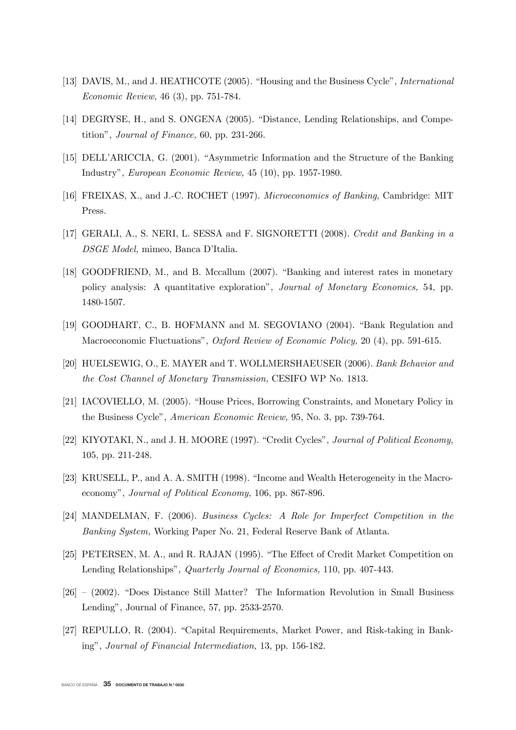- [13] DAVIS, M., and J. HEATHCOTE (2005). "Housing and the Business Cycle", *International* Economic Review, 46 (3), pp. 751-784.
- [14] DEGRYSE, H., and S. ONGENA (2005). "Distance, Lending Relationships, and Competition", Journal of Finance, 60, pp. 231-266.
- [15] DELL'ARICCIA, G. (2001). "Asymmetric Information and the Structure of the Banking Industry", European Economic Review, 45 (10), pp. 1957-1980.
- [16] FREIXAS, X., and J.-C. ROCHET (1997). Microeconomics of Banking, Cambridge: MIT Press.
- [17] GERALI, A., S. NERI, L. SESSA and F. SIGNORETTI (2008). Credit and Banking in a DSGE Model, mimeo, Banca D'Italia.
- [18] GOODFRIEND, M., and B. Mccallum (2007). "Banking and interest rates in monetary policy analysis: A quantitative exploration", Journal of Monetary Economics, 54, pp. 1480-1507.
- [19] GOODHART, C., B. HOFMANN and M. SEGOVIANO (2004). "Bank Regulation and Macroeconomic Fluctuations", Oxford Review of Economic Policy, 20 (4), pp. 591-615.
- [20] HUELSEWIG, O., E. MAYER and T. WOLLMERSHAEUSER (2006). Bank Behavior and the Cost Channel of Monetary Transmission, CESIFO WP No. 1813.
- [21] IACOVIELLO, M. (2005). "House Prices, Borrowing Constraints, and Monetary Policy in the Business Cycle", American Economic Review, 95, No. 3, pp. 739-764.
- [22] KIYOTAKI, N., and J. H. MOORE (1997). "Credit Cycles", Journal of Political Economy, 105, pp. 211-248.
- [23] KRUSELL, P., and A. A. SMITH (1998). "Income and Wealth Heterogeneity in the Macroeconomy", Journal of Political Economy, 106, pp. 867-896.
- [24] MANDELMAN, F. (2006). Business Cycles: A Role for Imperfect Competition in the Banking System, Working Paper No. 21, Federal Reserve Bank of Atlanta.
- [25] PETERSEN, M. A., and R. RAJAN (1995). "The Effect of Credit Market Competition on Lending Relationships", Quarterly Journal of Economics, 110, pp. 407-443.
- [26] (2002). "Does Distance Still Matter? The Information Revolution in Small Business Lending", Journal of Finance, 57, pp. 2533-2570.
- [27] REPULLO, R. (2004). "Capital Requirements, Market Power, and Risk-taking in Banking", Journal of Financial Intermediation, 13, pp. 156-182.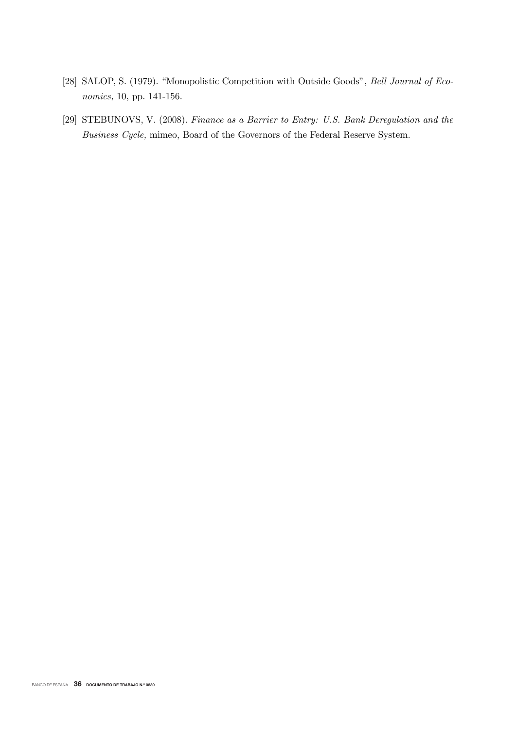- [28] SALOP, S. (1979). "Monopolistic Competition with Outside Goods", Bell Journal of Economics, 10, pp. 141-156.
- [29] STEBUNOVS, V. (2008). Finance as a Barrier to Entry: U.S. Bank Deregulation and the Business Cycle, mimeo, Board of the Governors of the Federal Reserve System.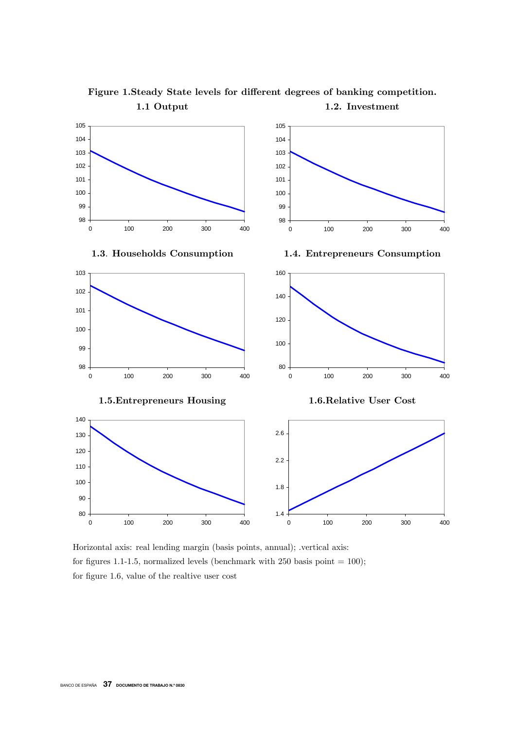

Figure 1.Steady State levels for different degrees of banking competition. 1.1 Output 1.2. Investment

Horizontal axis: real lending margin (basis points, annual); .vertical axis: for figures 1.1-1.5, normalized levels (benchmark with 250 basis point  $= 100$ ); for figure 1.6, value of the realtive user cost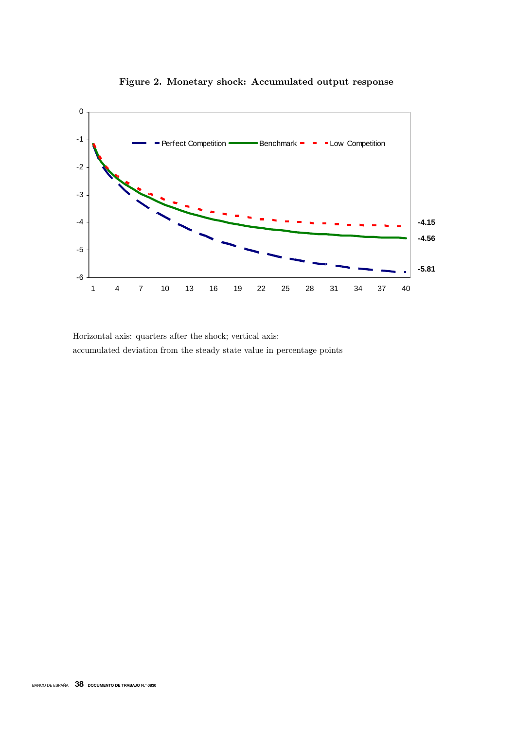

Figure 2. Monetary shock: Accumulated output response

Horizontal axis: quarters after the shock; vertical axis: accumulated deviation from the steady state value in percentage points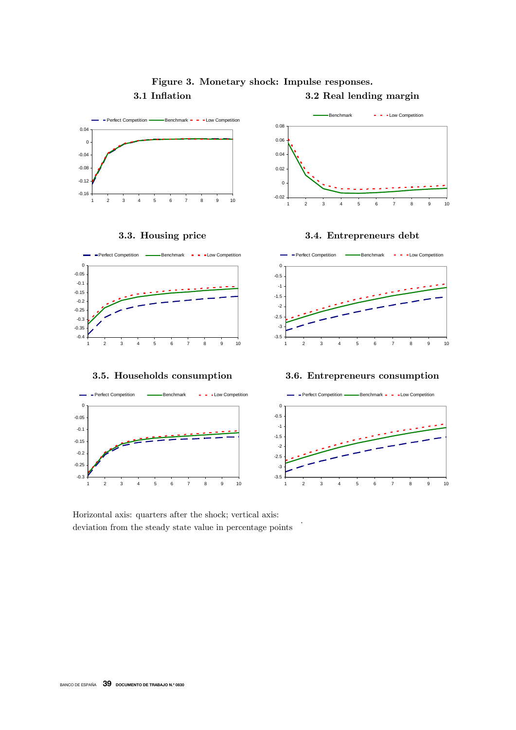

.

## Figure 3. Monetary shock: Impulse responses.

3.1 Inflation 3.2 Real lending margin

Horizontal axis: quarters after the shock; vertical axis: deviation from the steady state value in percentage points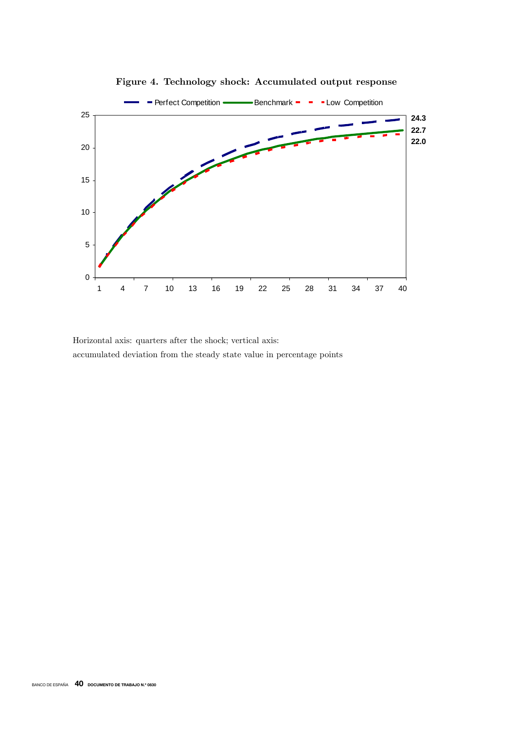

Figure 4. Technology shock: Accumulated output response

Horizontal axis: quarters after the shock; vertical axis: accumulated deviation from the steady state value in percentage points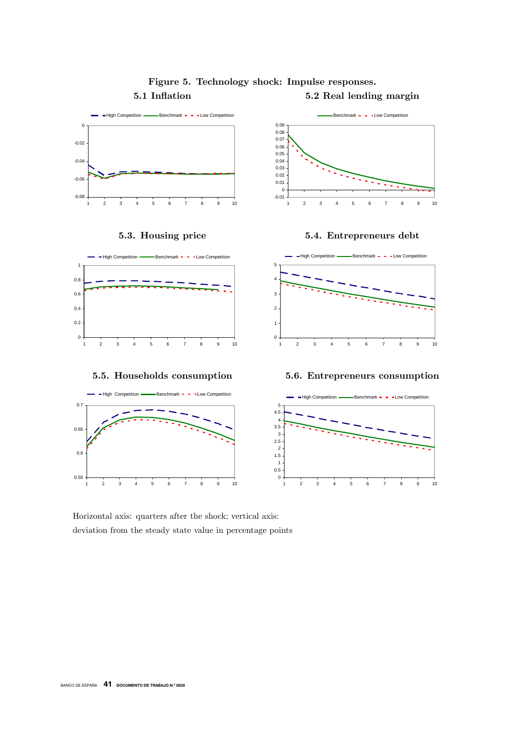

## Figure 5. Technology shock: Impulse responses. 5.1 Inflation 5.2 Real lending margin

Horizontal axis: quarters after the shock; vertical axis: deviation from the steady state value in percentage points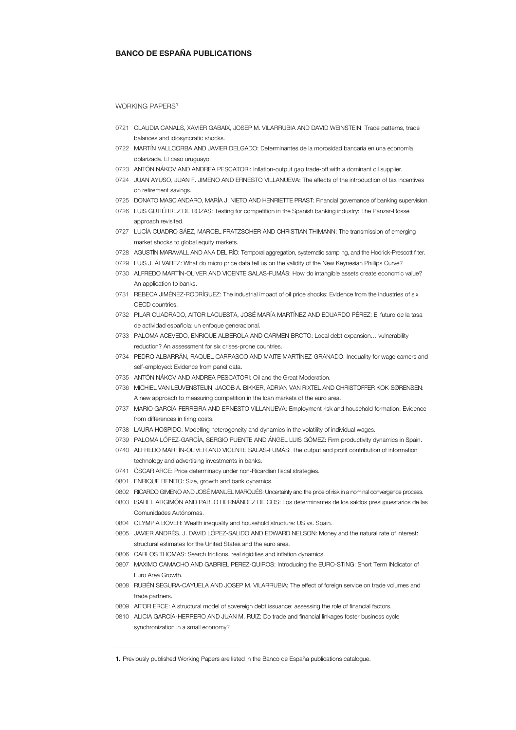#### BANCO DE ESPAÑA PUBLICATIONS

#### WORKING PAPERS<sup>1</sup>

- 0721 CLAUDIA CANALS, XAVIER GABAIX, JOSEP M. VILARRUBIA AND DAVID WEINSTEIN: Trade patterns, trade balances and idiosyncratic shocks.
- 0722 MARTÍN VALLCORBA AND JAVIER DELGADO: Determinantes de la morosidad bancaria en una economía dolarizada. El caso uruguayo.
- 0723 ANTÓN NÁKOV AND ANDREA PESCATORI: Inflation-output gap trade-off with a dominant oil supplier.
- 0724 JUAN AYUSO, JUAN F. JIMENO AND ERNESTO VILLANUEVA: The effects of the introduction of tax incentives on retirement savings.
- 0725 DONATO MASCIANDARO, MARÍA J. NIETO AND HENRIETTE PRAST: Financial governance of banking supervision.
- 0726 LUIS GUTIÉRREZ DE ROZAS: Testing for competition in the Spanish banking industry: The Panzar-Rosse approach revisited.
- 0727 LUCÍA CUADRO SÁEZ, MARCEL FRATZSCHER AND CHRISTIAN THIMANN: The transmission of emerging market shocks to global equity markets.
- 0728 AGUSTÍN MARAVALL AND ANA DEL RÍO: Temporal aggregation, systematic sampling, and the Hodrick-Prescott filter.
- 0729 LUIS J. ÁLVAREZ: What do micro price data tell us on the validity of the New Keynesian Phillips Curve?
- 0730 ALFREDO MARTÍN-OLIVER AND VICENTE SALAS-FUMÁS: How do intangible assets create economic value? An application to banks.
- 0731 REBECA JIMÉNEZ-RODRÍGUEZ: The industrial impact of oil price shocks: Evidence from the industries of six OECD countries.
- 0732 PILAR CUADRADO, AITOR LACUESTA, JOSÉ MARÍA MARTÍNEZ AND EDUARDO PÉREZ: El futuro de la tasa de actividad española: un enfoque generacional.
- 0733 PALOMA ACEVEDO, ENRIQUE ALBEROLA AND CARMEN BROTO: Local debt expansion… vulnerability reduction? An assessment for six crises-prone countries.
- 0734 PEDRO ALBARRÁN, RAQUEL CARRASCO AND MAITE MARTÍNEZ-GRANADO: Inequality for wage earners and self-employed: Evidence from panel data.
- 0735 ANTÓN NÁKOV AND ANDREA PESCATORI: Oil and the Great Moderation.
- 0736 MICHIEL VAN LEUVENSTEIJN, JACOB A. BIKKER, ADRIAN VAN RIXTEL AND CHRISTOFFER KOK-SØRENSEN: A new approach to measuring competition in the loan markets of the euro area.
- 0737 MARIO GARCÍA-FERREIRA AND ERNESTO VILLANUEVA: Employment risk and household formation: Evidence from differences in firing costs.
- 0738 LAURA HOSPIDO: Modelling heterogeneity and dynamics in the volatility of individual wages.
- 0739 PALOMA LÓPEZ-GARCÍA, SERGIO PUENTE AND ÁNGEL LUIS GÓMEZ: Firm productivity dynamics in Spain.
- 0740 ALFREDO MARTÍN-OLIVER AND VICENTE SALAS-FUMÁS: The output and profit contribution of information technology and advertising investments in banks.
- 0741 ÓSCAR ARCE: Price determinacy under non-Ricardian fiscal strategies.
- 0801 ENRIQUE BENITO: Size, growth and bank dynamics.

j

- 0802 RICARDO GIMENO AND JOSÉ MANUEL MARQUÉS: Uncertainty and the price of risk in a nominal convergence process.
- 0803 ISABEL ARGIMÓN AND PABLO HERNÁNDEZ DE COS: Los determinantes de los saldos presupuestarios de las Comunidades Autónomas.
- 0804 OLYMPIA BOVER: Wealth inequality and household structure: US vs. Spain.
- 0805 JAVIER ANDRÉS, J. DAVID LÓPEZ-SALIDO AND EDWARD NELSON: Money and the natural rate of interest: structural estimates for the United States and the euro area.
- 0806 CARLOS THOMAS: Search frictions, real rigidities and inflation dynamics.
- 0807 MAXIMO CAMACHO AND GABRIEL PEREZ-QUIROS: Introducing the EURO-STING: Short Term INdicator of Euro Area Growth.
- 0808 RUBÉN SEGURA-CAYUELA AND JOSEP M. VILARRUBIA: The effect of foreign service on trade volumes and trade partners.
- 0809 AITOR ERCE: A structural model of sovereign debt issuance: assessing the role of financial factors.
- 0810 ALICIA GARCÍA-HERRERO AND JUAN M. RUIZ: Do trade and financial linkages foster business cycle synchronization in a small economy?

<sup>1.</sup> Previously published Working Papers are listed in the Banco de España publications catalogue.